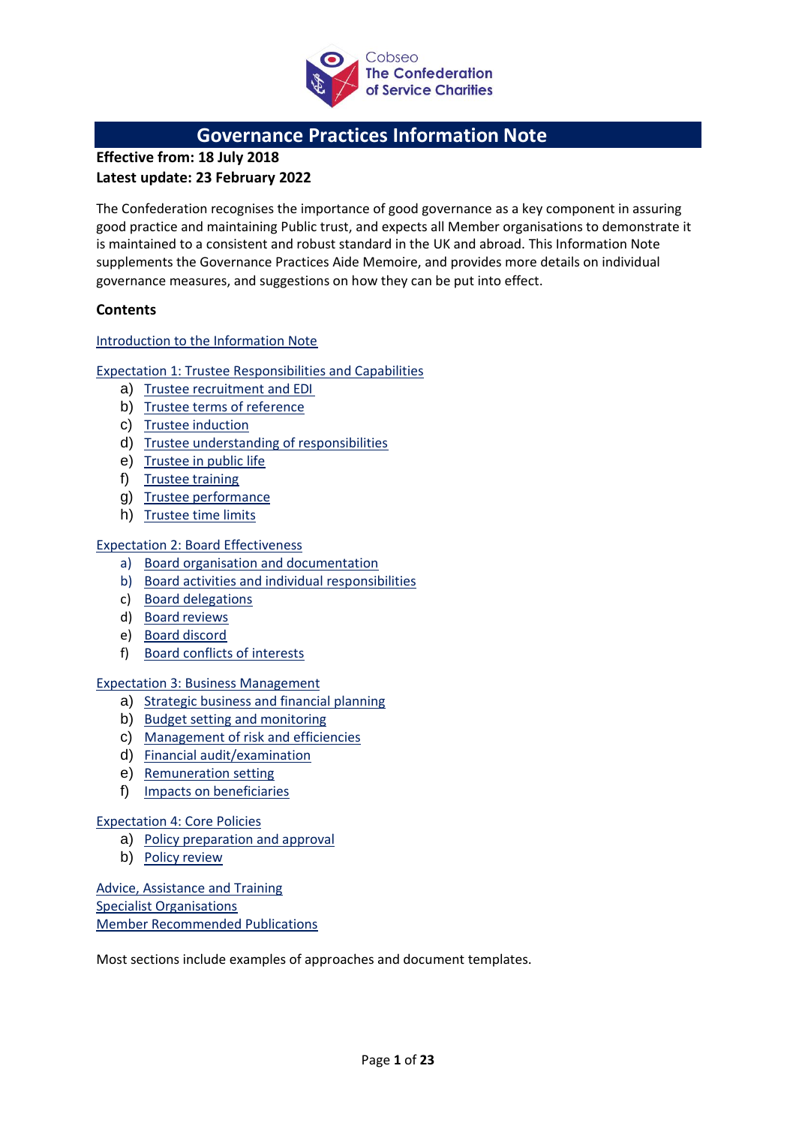

## **Governance Practices Information Note**

**Effective from: 18 July 2018 Latest update: 23 February 2022**

The Confederation recognises the importance of good governance as a key component in assuring good practice and maintaining Public trust, and expects all Member organisations to demonstrate it is maintained to a consistent and robust standard in the UK and abroad. This Information Note supplements the Governance Practices Aide Memoire, and provides more details on individual governance measures, and suggestions on how they can be put into effect.

## **Contents**

## [Introduction to the Information Note](#page-1-0)

## [Expectation 1: Trustee Responsibilities and Capabilities](#page-3-0)

- a) [Trustee recruitment and](#page-3-1) EDI
- b) [Trustee terms of](#page-5-0) reference
- c) Trustee [induction](#page-5-1)
- d) [Trustee understanding of responsibilities](#page-6-0)
- e) [Trustee in public](#page-7-0) life
- f) Trustee [training](#page-7-1)
- g) Trustee [performance](#page-8-0)
- h) [Trustee time](#page-8-1) limits

## [Expectation 2: Board Effectiveness](#page-10-0)

- a) [Board organisation and](#page-10-1) documentation
- b) [Board activities and individual](#page-11-0) responsibilities
- c) [Board delegations](#page-12-0)
- d) Board [reviews](#page-13-0)
- e) Board [discord](#page-13-1)
- f) [Board conflicts of](#page-14-0) interests

### [Expectation 3: Business Management](#page-15-0)

- a) [Strategic business and financial](#page-15-1) planning
- b) [Budget setting and](#page-16-0) monitoring
- c) [Management of risk](#page-16-1) and efficiencies
- d) Financial [audit/examination](#page-17-0)
- e) [Remuneration](#page-18-0) setting
- f) Impacts on [beneficiaries](#page-18-1)

### [Expectation 4: Core Policies](#page-19-0)

- a) [Policy preparation and](#page-19-1) approval
- b) Policy [review](#page-20-0)

[Advice, Assistance and Training](#page-21-0) [Specialist Organisations](#page-21-1) [Member Recommended Publications](#page-22-0)

Most sections include examples of approaches and document templates.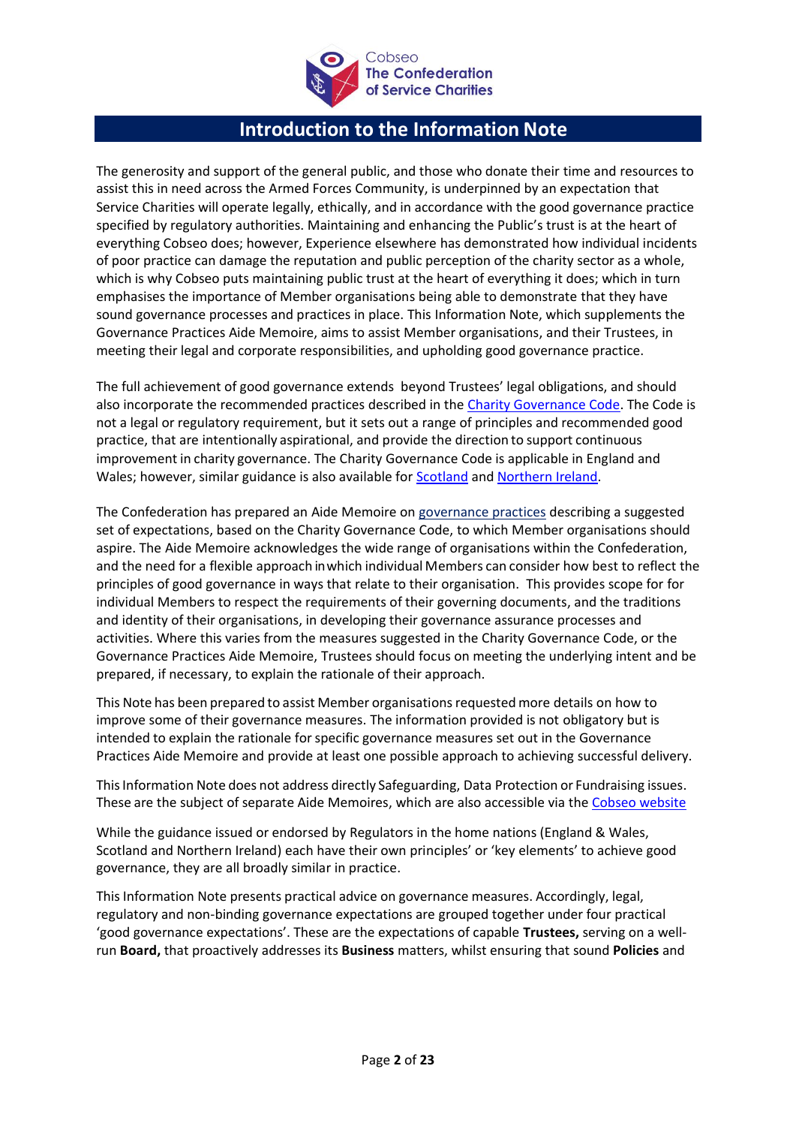

# **Introduction to the Information Note**

<span id="page-1-0"></span>The generosity and support of the general public, and those who donate their time and resources to assist this in need across the Armed Forces Community, is underpinned by an expectation that Service Charities will operate legally, ethically, and in accordance with the good governance practice specified by regulatory authorities. Maintaining and enhancing the Public's trust is at the heart of everything Cobseo does; however, Experience elsewhere has demonstrated how individual incidents of poor practice can damage the reputation and public perception of the charity sector as a whole, which is why Cobseo puts maintaining public trust at the heart of everything it does; which in turn emphasises the importance of Member organisations being able to demonstrate that they have sound governance processes and practices in place. This Information Note, which supplements the Governance Practices Aide Memoire, aims to assist Member organisations, and their Trustees, in meeting their legal and corporate responsibilities, and upholding good governance practice.

The full achievement of good governance extends beyond Trustees' legal obligations, and should also incorporate the recommended practices described in th[e Charity Governance Code.](https://www.charitygovernancecode.org/en/front-page) The Code is not a legal or regulatory requirement, but it sets out a range of principles and recommended good practice, that are intentionally aspirational, and provide the direction to support continuous improvement in charity governance. The Charity Governance Code is applicable in England and Wales; however, similar guidance is also available fo[r Scotland](https://www.oscr.org.uk/news/scottish-governance-code-and-checkup/) and [Northern Ireland.](https://apps.charitycommissionni.org.uk/Charity_requirements_guidance/Charity_governance/default.aspx)

The Confederation has prepared an Aide Memoire on [governance practices](http://www.cobseo.org.uk/about-us/governance) describing a suggested set of expectations, based on the Charity Governance Code, to which Member organisations should aspire. The Aide Memoire acknowledges the wide range of organisations within the Confederation, and the need for a flexible approach inwhich individual Members can consider how best to reflect the principles of good governance in ways that relate to their organisation. This provides scope for for individual Members to respect the requirements of their governing documents, and the traditions and identity of their organisations, in developing their governance assurance processes and activities. Where this varies from the measures suggested in the Charity Governance Code, or the Governance Practices Aide Memoire, Trustees should focus on meeting the underlying intent and be prepared, if necessary, to explain the rationale of their approach.

This Note has been prepared to assist Member organisations requested more details on how to improve some of their governance measures. The information provided is not obligatory but is intended to explain the rationale for specific governance measures set out in the Governance Practices Aide Memoire and provide at least one possible approach to achieving successful delivery.

ThisInformation Note does not address directly Safeguarding, Data Protection or Fundraising issues. These are the subject of separate Aide Memoires, which are also accessible via the [Cobseo website](https://www.cobseo.org.uk/governance/)

While the guidance issued or endorsed by Regulators in the home nations (England & Wales, Scotland and Northern Ireland) each have their own principles' or 'key elements' to achieve good governance, they are all broadly similar in practice.

This Information Note presents practical advice on governance measures. Accordingly, legal, regulatory and non-binding governance expectations are grouped together under four practical 'good governance expectations'. These are the expectations of capable **Trustees,** serving on a wellrun **Board,** that proactively addresses its **Business** matters, whilst ensuring that sound **Policies** and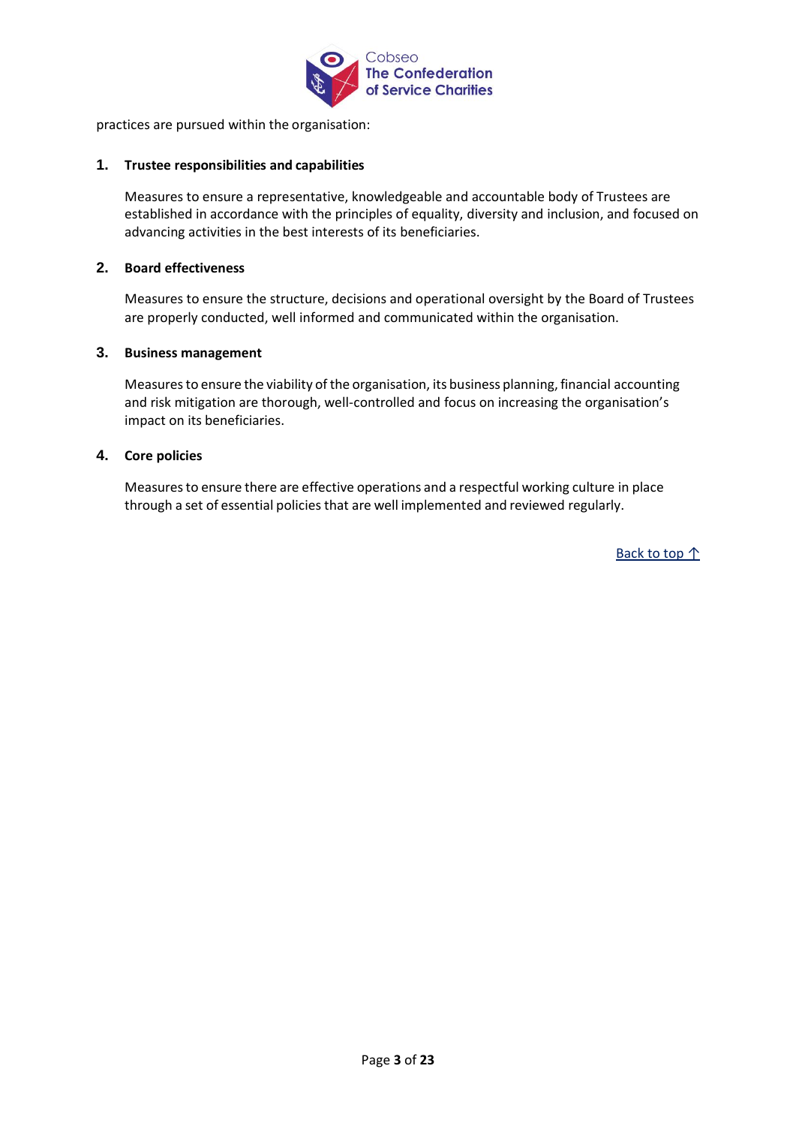

practices are pursued within the organisation:

### **1. Trustee responsibilities and capabilities**

Measures to ensure a representative, knowledgeable and accountable body of Trustees are established in accordance with the principles of equality, diversity and inclusion, and focused on advancing activities in the best interests of its beneficiaries.

#### **2. Board effectiveness**

Measures to ensure the structure, decisions and operational oversight by the Board of Trustees are properly conducted, well informed and communicated within the organisation.

#### **3. Business management**

Measuresto ensure the viability of the organisation, its business planning, financial accounting and risk mitigation are thorough, well-controlled and focus on increasing the organisation's impact on its beneficiaries.

### **4. Core policies**

Measuresto ensure there are effective operations and a respectful working culture in place through a set of essential policies that are well implemented and reviewed regularly.

Back to top ↑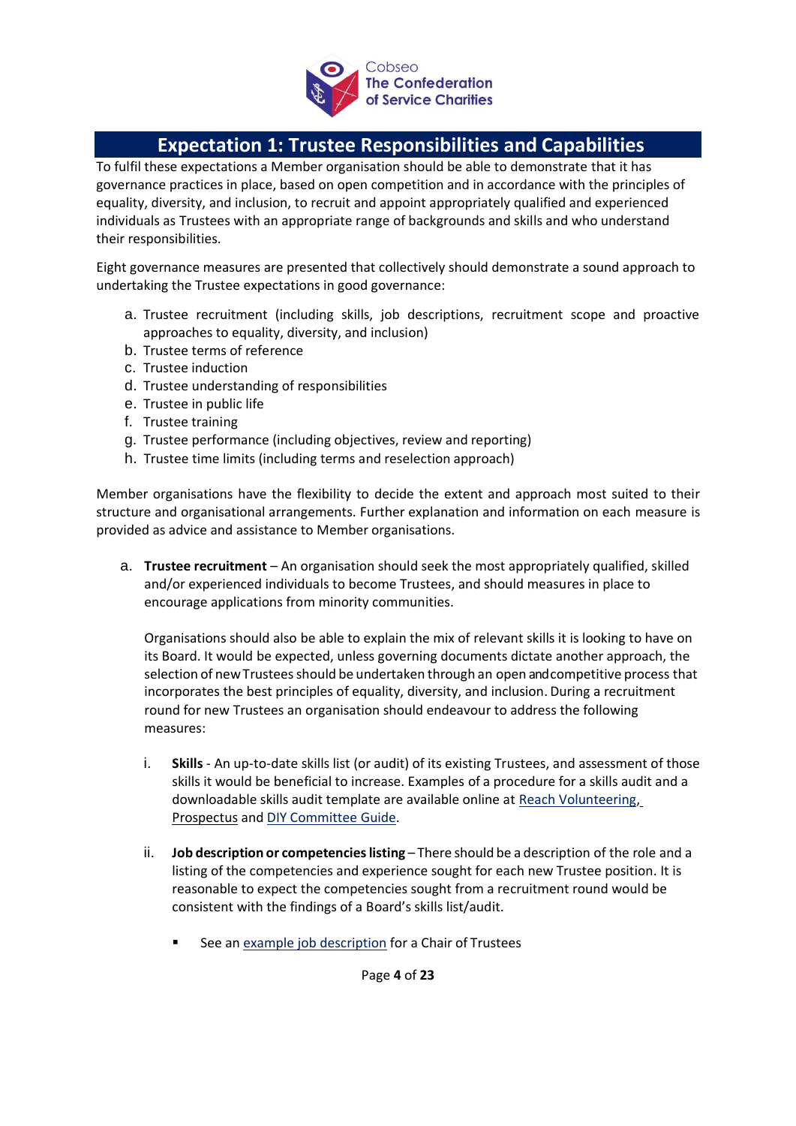

# **Expectation 1: Trustee Responsibilities and Capabilities**

<span id="page-3-0"></span>To fulfil these expectations a Member organisation should be able to demonstrate that it has governance practices in place, based on open competition and in accordance with the principles of equality, diversity, and inclusion, to recruit and appoint appropriately qualified and experienced individuals as Trustees with an appropriate range of backgrounds and skills and who understand their responsibilities.

Eight governance measures are presented that collectively should demonstrate a sound approach to undertaking the Trustee expectations in good governance:

- a. Trustee recruitment (including skills, job descriptions, recruitment scope and proactive approaches to equality, diversity, and inclusion)
- b. Trustee terms of reference
- c. Trustee induction
- d. Trustee understanding of responsibilities
- e. Trustee in public life
- f. Trustee training
- g. Trustee performance (including objectives, review and reporting)
- h. Trustee time limits (including terms and reselection approach)

Member organisations have the flexibility to decide the extent and approach most suited to their structure and organisational arrangements. Further explanation and information on each measure is provided as advice and assistance to Member organisations.

<span id="page-3-1"></span>a. **Trustee recruitment** – An organisation should seek the most appropriately qualified, skilled and/or experienced individuals to become Trustees, and should measures in place to encourage applications from minority communities.

Organisations should also be able to explain the mix of relevant skills it is looking to have on its Board. It would be expected, unless governing documents dictate another approach, the selection of newTrusteesshould be undertaken through an open and competitive process that incorporates the best principles of equality, diversity, and inclusion. During a recruitment round for new Trustees an organisation should endeavour to address the following measures:

- i. **Skills**  An up-to-date skills list (or audit) of its existing Trustees, and assessment of those skills it would be beneficial to increase. Examples of a procedure for a skills audit and a downloadable skills audit template are available online at [Reach Volunteering](https://reachvolunteering.org.uk/guide/how-complete-skills-audit)[,](https://www.prospect-us.co.uk/news/board-skills-audit) [Prospectus](https://www.prospect-us.co.uk/news/board-skills-audit) and [DIY Committee](https://www.diycommitteeguide.org/code/principle/skills-audit) [Guide.](http://www.diycommitteeguide.org/code/principle/skills-audit)
- ii. **Job description or competencieslisting** There should be a description of the role and a listing of the competencies and experience sought for each new Trustee position. It is reasonable to expect the competencies sought from a recruitment round would be consistent with the findings of a Board's skills list/audit.
	- See an [example job description](http://www.governancepages.org.uk/sample-documents/jobrole-descriptions/job-description-for-a-chair) for a Chair of Trustees

Page **4** of **23**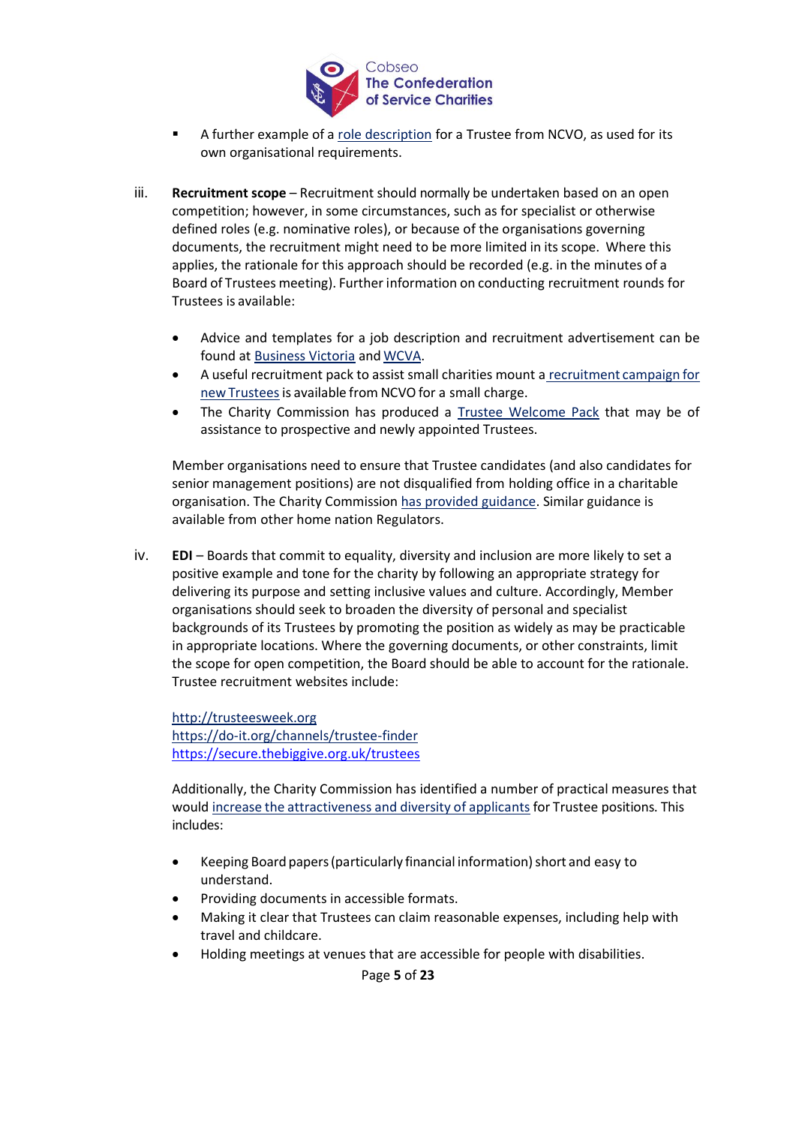

- A further example of a [role description](http://www.ncvo.org.uk/images/images/about_us/trustees/Trustee_Description_of_Role.pdf) for a Trustee from NCVO, as used for its own organisational requirements.
- iii. **Recruitment scope** Recruitment should normally be undertaken based on an open competition; however, in some circumstances, such as for specialist or otherwise defined roles (e.g. nominative roles), or because of the organisations governing documents, the recruitment might need to be more limited in its scope. Where this applies, the rationale for this approach should be recorded (e.g. in the minutes of a Board of Trustees meeting). Further information on conducting recruitment rounds for Trustees is available:
	- Advice and templates for a job description and recruitment advertisement can be found at **[Business Victoria](http://www.business.vic.gov.au/hiring-and-managing-staff/staff-recruitment/job-description-and-advertisement-template)** and **WCVA**.
	- A useful recruitment pack to assist small charities mount a recruitment campaign for new Trustees is available from NCVO for a small charge.
	- The Charity Commission has produced a [Trustee Welcome Pack](http://www.gov.uk/government/publications/charity-trustee-welcome-pack) that may be of assistance to prospective and newly appointed Trustees.

Member organisations need to ensure that Trustee candidates (and also candidates for senior management positions) are not disqualified from holding office in a charitable organisation. The Charity Commission [has provided guidance.](http://www.gov.uk/guidance/automatic-disqualification-rules-for-charity-trustees-and-charity-senior-positions) Similar guidance is available from other home nation Regulators.

iv. **EDI** – Boards that commit to equality, diversity and inclusion are more likely to set a positive example and tone for the charity by following an appropriate strategy for delivering its purpose and setting inclusive values and culture. Accordingly, Member organisations should seek to broaden the diversity of personal and specialist backgrounds of its Trustees by promoting the position as widely as may be practicable in appropriate locations. Where the governing documents, or other constraints, limit the scope for open competition, the Board should be able to account for the rationale. Trustee recruitment websites include:

[http://trusteesweek.org](http://trusteesweek.org/) <https://do-it.org/channels/trustee-finder> <https://secure.thebiggive.org.uk/trustees>

Additionally, the Charity Commission has identified a number of practical measures that would increase the [attractiveness](http://www.gov.uk/guidance/trustee-board-people-and-skills) and diversity of applicants for Trustee positions. This includes:

- Keeping Board papers (particularly financial information) short and easy to understand.
- Providing documents in accessible formats.
- Making it clear that Trustees can claim reasonable expenses, including help with travel and childcare.
- Holding meetings at venues that are accessible for people with disabilities.

Page **5** of **23**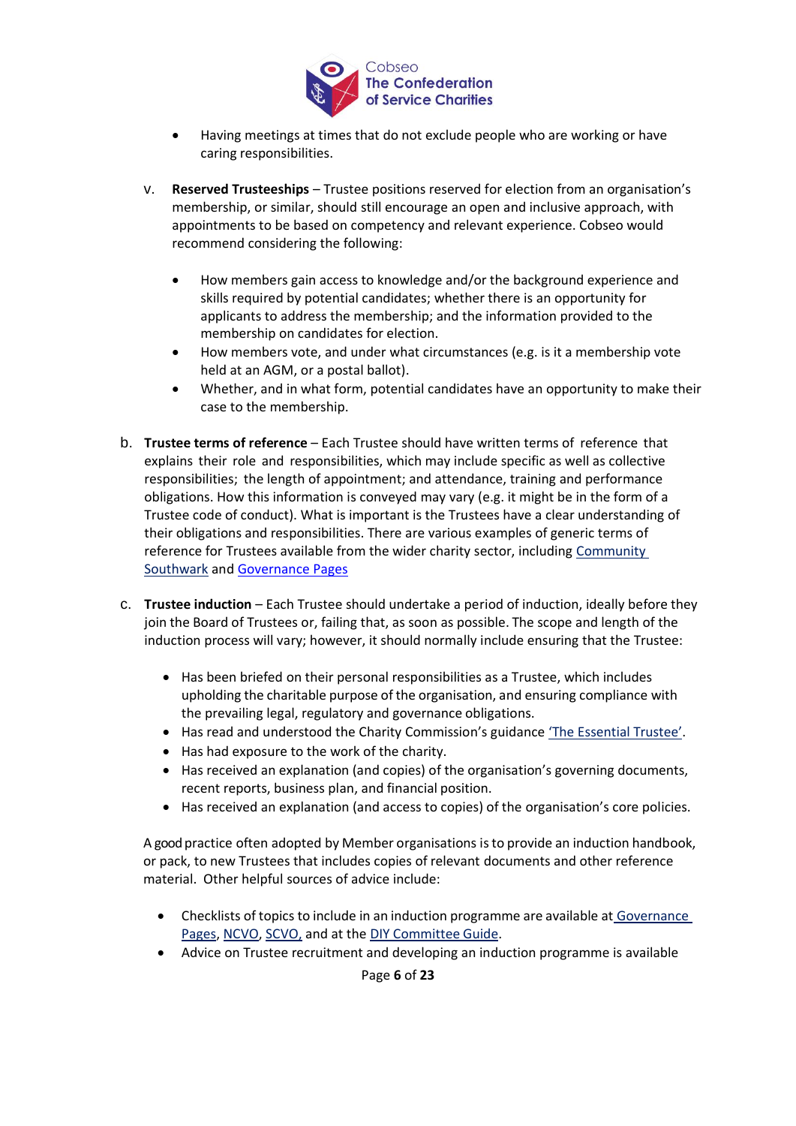

- Having meetings at times that do not exclude people who are working or have caring responsibilities.
- v. **Reserved Trusteeships**  Trustee positions reserved for election from an organisation's membership, or similar, should still encourage an open and inclusive approach, with appointments to be based on competency and relevant experience. Cobseo would recommend considering the following:
	- How members gain access to knowledge and/or the background experience and skills required by potential candidates; whether there is an opportunity for applicants to address the membership; and the information provided to the membership on candidates for election.
	- How members vote, and under what circumstances (e.g. is it a membership vote held at an AGM, or a postal ballot).
	- Whether, and in what form, potential candidates have an opportunity to make their case to the membership.
- <span id="page-5-0"></span>b. **Trustee terms of reference** – Each Trustee should have written terms of reference that explains their role and responsibilities, which may include specific as well as collective responsibilities; the length of appointment; and attendance, training and performance obligations. How this information is conveyed may vary (e.g. it might be in the form of a Trustee code of conduct). What is important is the Trustees have a clear understanding of their obligations and responsibilities. There are various examples of generic terms of reference for Trustees available from the wider charity sector, including [Community](https://www.communitysouthwark.org/Handlers/Download.ashx?IDMF=ed660b08-9d44-4a35-963a-8c355d38336b)  [Southwark](https://www.communitysouthwark.org/Handlers/Download.ashx?IDMF=ed660b08-9d44-4a35-963a-8c355d38336b) and [Governance Pages](http://www.governancepages.org.uk/sample-documents/codes-of-conductgovernance-codes/)
- <span id="page-5-1"></span>c. **Trustee induction** – Each Trustee should undertake a period of induction, ideally before they join the Board of Trustees or, failing that, as soon as possible. The scope and length of the induction process will vary; however, it should normally include ensuring that the Trustee:
	- Has been briefed on their personal responsibilities as a Trustee, which includes upholding the charitable purpose of the organisation, and ensuring compliance with the prevailing legal, regulatory and governance obligations.
	- Has read and understood the Charity Commission's guidance 'The Essential Trustee'.
	- Has had exposure to the work of the charity.
	- Has received an explanation (and copies) of the organisation's governing documents, recent reports, business plan, and financial position.
	- Has received an explanation (and access to copies) of the organisation's core policies.

A good practice often adopted by Member organisations isto provide an induction handbook, or pack, to new Trustees that includes copies of relevant documents and other reference material. Other helpful sources of advice include:

- Checklists of topics to include in an induction programme are available at [Governance](http://www.governancepages.org.uk/sample-documents/recruitment-documents/induction-checklist/)  [Pages,](http://www.governancepages.org.uk/sample-documents/recruitment-documents/induction-checklist/) [NCVO,](https://knowhownonprofit.org/tools-resources/board-basics/tools-and-guidance/create-a-comprehensive-trustee-induction-pack) [SCVO,](https://scvo.org.uk/running-your-organisation/governance/recruitment-induction) and at the [DIY Committee](http://www.diycommitteeguide.org/download/checklist-induction-of-management-committee-members) Guide.
- Advice on Trustee recruitment and developing an induction programme is available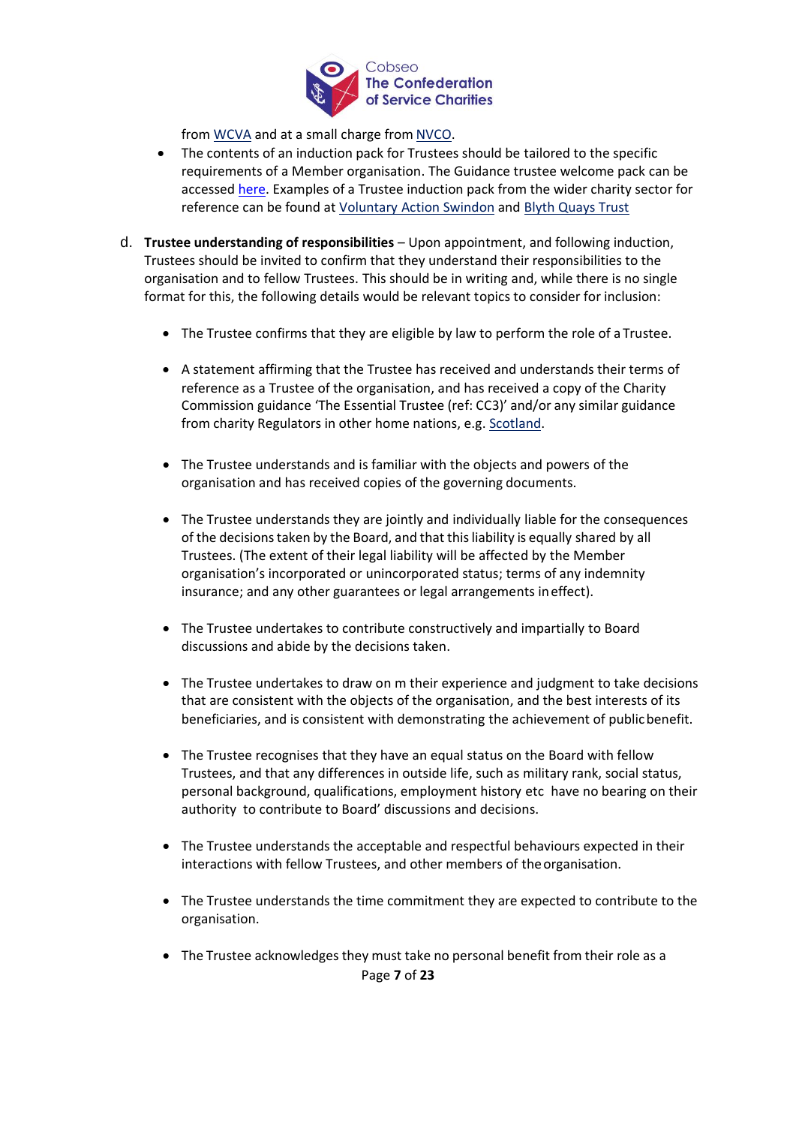

from [WCVA](https://wcva.cymru/wp-content/uploads/2020/01/5.4-Trustee-Recruitment.pdf) and at a small charge from [NVCO.](https://knowhownonprofit.org/studyzone/trustee-recruitment-and-induction)

- The contents of an induction pack for Trustees should be tailored to the specific requirements of a Member organisation. The Guidance trustee welcome pack can be accessed [here.](https://www.gov.uk/government/publications/charity-trustee-welcome-pack/charity-trustee-welcome-pack) Examples of a Trustee induction pack from the wider charity sector for reference can be found at [Voluntary Action](http://vas-swindon.org/wp-content/uploads/docs/trustee-handbook.pdf) [Swindon](http://vas-swindon.org/wp-content/uploads/docs/trustee-handbook.pdf) and [Blyth Quays Trust](http://www.blythquaystrust.co.uk/site/images/BQT/files/Trustee-GovernorHandbook.pdf)
- <span id="page-6-0"></span>d. **Trustee understanding of responsibilities** – Upon appointment, and following induction, Trustees should be invited to confirm that they understand their responsibilities to the organisation and to fellow Trustees. This should be in writing and, while there is no single format for this, the following details would be relevant topics to consider for inclusion:
	- The Trustee confirms that they are eligible by law to perform the role of a Trustee.
	- A statement affirming that the Trustee has received and understands their terms of reference as a Trustee of the organisation, and has received a copy of the Charity Commission guidance 'The Essential Trustee (ref: CC3)' and/or any similar guidance from charity Regulators in other home nations, e.g. [Scotland.](http://www.oscr.org.uk/guidance-and-forms/forms-and-templates/trustee-declaration-form)
	- The Trustee understands and is familiar with the objects and powers of the organisation and has received copies of the governing documents.
	- The Trustee understands they are jointly and individually liable for the consequences of the decisions taken by the Board, and that this liability is equally shared by all Trustees. (The extent of their legal liability will be affected by the Member organisation's incorporated or unincorporated status; terms of any indemnity insurance; and any other guarantees or legal arrangements ineffect).
	- The Trustee undertakes to contribute constructively and impartially to Board discussions and abide by the decisions taken.
	- The Trustee undertakes to draw on m their experience and judgment to take decisions that are consistent with the objects of the organisation, and the best interests of its beneficiaries, and is consistent with demonstrating the achievement of publicbenefit.
	- The Trustee recognises that they have an equal status on the Board with fellow Trustees, and that any differences in outside life, such as military rank, social status, personal background, qualifications, employment history etc have no bearing on their authority to contribute to Board' discussions and decisions.
	- The Trustee understands the acceptable and respectful behaviours expected in their interactions with fellow Trustees, and other members of the organisation.
	- The Trustee understands the time commitment they are expected to contribute to the organisation.
	- Page **7** of **23** • The Trustee acknowledges they must take no personal benefit from their role as a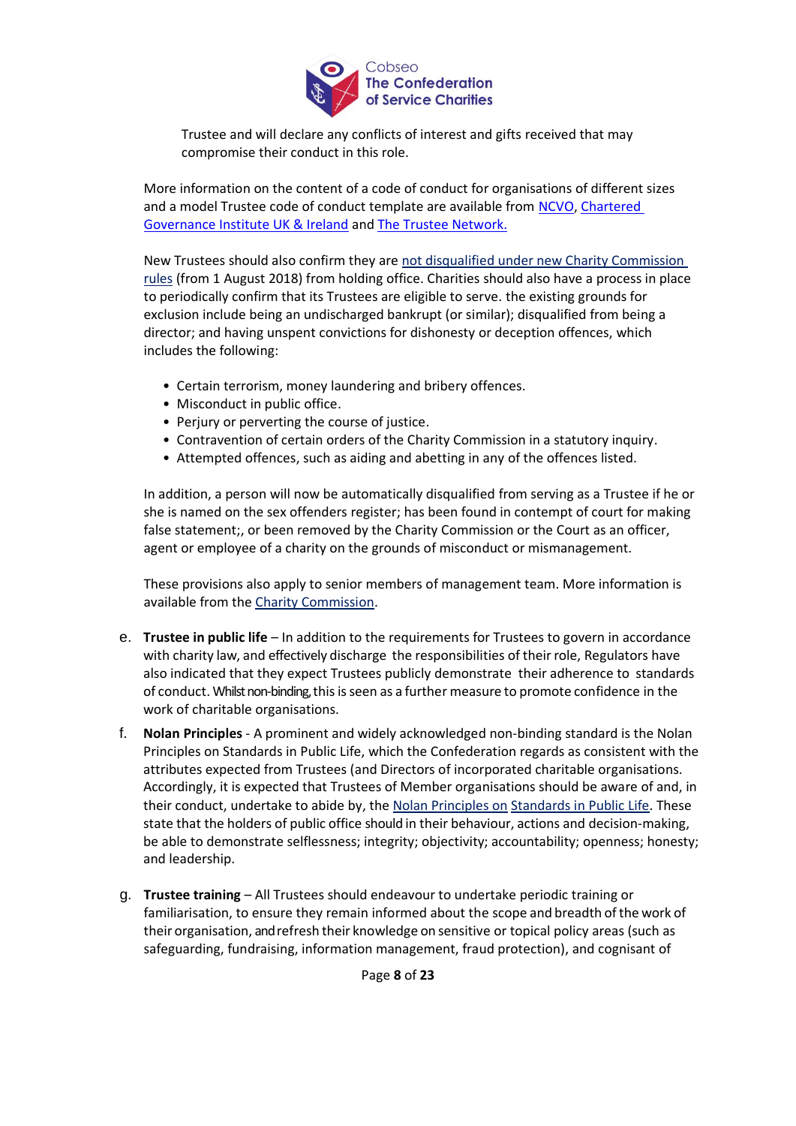

Trustee and will declare any conflicts of interest and gifts received that may compromise their conduct in this role.

More information on the content of a code of conduct for organisations of different sizes and a model Trustee code of conduct template are available from [NCVO,](https://knowhow.ncvo.org.uk/tools-resources/board-basics/model-documents-and-templates/code-of-conduct) Chartered [Governance Institute UK & Ireland](https://www.cgi.org.uk/knowledge/resources/code-of-conduct-charity-trustees-england-wales) and [The Trustee Network.](http://www.governancepages.org.uk/wp-content/uploads/2010/10/Codes-of-Conduct-for-Trustees-CTN-booklet.pdf)

New Trustees should also confirm they are [not disqualified under new Charity Commission](https://www.gov.uk/guidance/automatic-disqualification-rules-for-charity-trustees-and-charity-senior-positions)  [rules](https://www.gov.uk/guidance/automatic-disqualification-rules-for-charity-trustees-and-charity-senior-positions) (from 1 August 2018) from holding office. Charities should also have a process in place to periodically confirm that its Trustees are eligible to serve. the existing grounds for exclusion include being an undischarged bankrupt (or similar); disqualified from being a director; and having unspent convictions for dishonesty or deception offences, which includes the following:

- Certain terrorism, money laundering and bribery offences.
- Misconduct in public office.
- Perjury or perverting the course of justice.
- Contravention of certain orders of the Charity Commission in a statutory inquiry.
- Attempted offences, such as aiding and abetting in any of the offences listed.

In addition, a person will now be automatically disqualified from serving as a Trustee if he or she is named on the sex offenders register; has been found in contempt of court for making false statement;, or been removed by the Charity Commission or the Court as an officer, agent or employee of a charity on the grounds of misconduct or mismanagement.

These provisions also apply to senior members of management team. More information is available from the [Charity Commission.](https://www.gov.uk/guidance/automatic-disqualification-rules-for-charity-trustees-and-charity-senior-positions)

- <span id="page-7-0"></span>e. **Trustee in public life** – In addition to the requirements for Trustees to govern in accordance with charity law, and effectively discharge the responsibilities of their role, Regulators have also indicated that they expect Trustees publicly demonstrate their adherence to standards of conduct. Whilst non-binding, thisisseen as a further measure to promote confidence in the work of charitable organisations.
- f. **Nolan Principles** A prominent and widely acknowledged non-binding standard is the Nolan Principles on Standards in Public Life, which the Confederation regards as consistent with the attributes expected from Trustees (and Directors of incorporated charitable organisations. Accordingly, it is expected that Trustees of Member organisations should be aware of and, in their conduct, undertake to abide by, the [Nolan Principles on](http://www.gov.uk/government/publications/the-7-principles-of-public-life/the-7-principles-of-public-life--2) [Standards in Public Life.](http://www.gov.uk/government/publications/the-7-principles-of-public-life/the-7-principles-of-public-life--2) These state that the holders of public office should in their behaviour, actions and decision-making, be able to demonstrate selflessness; integrity; objectivity; accountability; openness; honesty; and leadership.
- <span id="page-7-1"></span>g. **Trustee training** – All Trustees should endeavour to undertake periodic training or familiarisation, to ensure they remain informed about the scope and breadth of the work of their organisation, and refresh their knowledge on sensitive or topical policy areas (such as safeguarding, fundraising, information management, fraud protection), and cognisant of

Page **8** of **23**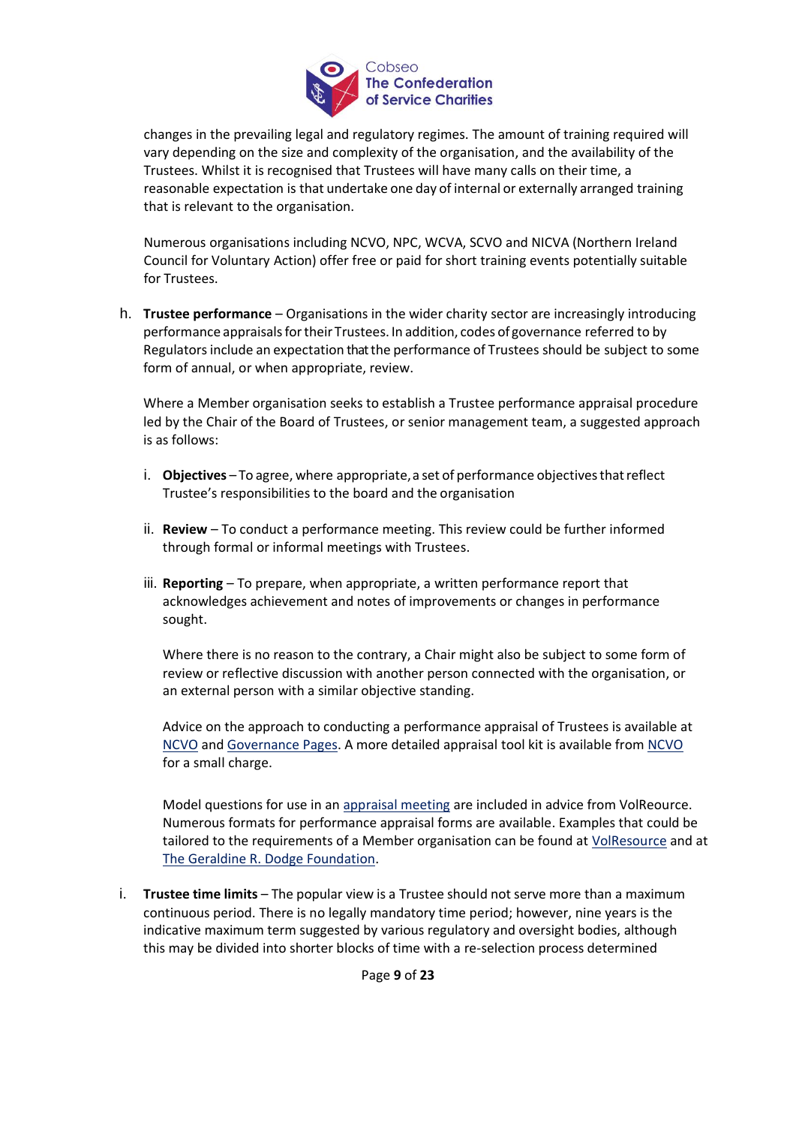

changes in the prevailing legal and regulatory regimes. The amount of training required will vary depending on the size and complexity of the organisation, and the availability of the Trustees. Whilst it is recognised that Trustees will have many calls on their time, a reasonable expectation is that undertake one day of internal or externally arranged training that is relevant to the organisation.

Numerous organisations including NCVO, NPC, WCVA, SCVO and NICVA (Northern Ireland Council for Voluntary Action) offer free or paid for short training events potentially suitable for Trustees.

<span id="page-8-0"></span>h. **Trustee performance** – Organisations in the wider charity sector are increasingly introducing performance appraisals for their Trustees. In addition, codes of governance referred to by Regulatorsinclude an expectation that the performance of Trustees should be subject to some form of annual, or when appropriate, review.

Where a Member organisation seeks to establish a Trustee performance appraisal procedure led by the Chair of the Board of Trustees, or senior management team, a suggested approach is as follows:

- i. **Objectives** To agree, where appropriate, a set of performance objectives that reflect Trustee's responsibilities to the board and the organisation
- ii. **Review**  To conduct a performance meeting. This review could be further informed through formal or informal meetings with Trustees.
- iii. **Reporting**  To prepare, when appropriate, a written performance report that acknowledges achievement and notes of improvements or changes in performance sought.

Where there is no reason to the contrary, a Chair might also be subject to some form of review or reflective discussion with another person connected with the organisation, or an external person with a similar objective standing.

Advice on the approach to conducting a performance appraisal of Trustees is available at [NCVO](https://knowhownonprofit.org/how-to/how-to-review-your-board) and [Governance Pages.](http://www.governancepages.org.uk/wp-content/uploads/2010/10/NOS-Ex11-Appraisal.pdf) A more detailed appraisal tool kit is available fro[m NCVO](https://knowhownonprofit.org/studyzone/board-appraisal-toolkit) for a small charge.

Model questions for use in an [appraisal meeting](http://vr.volresource.org.uk/people/appraisal-form/#appraisal-checklist) are included in advice from VolReource. Numerous formats for performance appraisal forms are available. Examples that could be tailored to the requirements of a Member organisation can be found at [VolResource](http://vr.volresource.org.uk/people/appraisal-form/#appraisal-form) and at [The Geraldine R. Dodge Foundation.](http://www.grdodge.org/fileadmin/assets/resource_library/BoardSelfEvaluationForm.doc)

<span id="page-8-1"></span>i. **Trustee time limits** – The popular view is a Trustee should not serve more than a maximum continuous period. There is no legally mandatory time period; however, nine years is the indicative maximum term suggested by various regulatory and oversight bodies, although this may be divided into shorter blocks of time with a re-selection process determined

Page **9** of **23**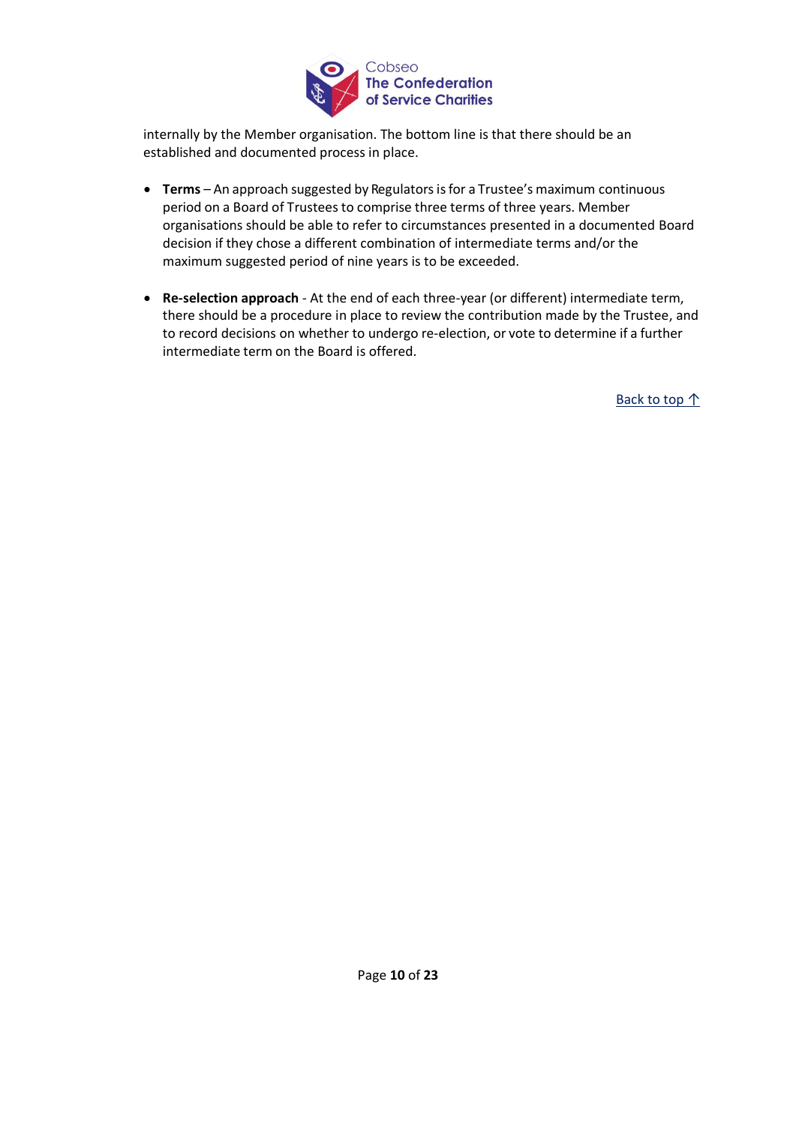

internally by the Member organisation. The bottom line is that there should be an established and documented process in place.

- **Terms** An approach suggested by Regulators is for a Trustee's maximum continuous period on a Board of Trustees to comprise three terms of three years. Member organisations should be able to refer to circumstances presented in a documented Board decision if they chose a different combination of intermediate terms and/or the maximum suggested period of nine years is to be exceeded.
- **Re-selection approach**  At the end of each three-year (or different) intermediate term, there should be a procedure in place to review the contribution made by the Trustee, and to record decisions on whether to undergo re-election, or vote to determine if a further intermediate term on the Board is offered.

Back to top ↑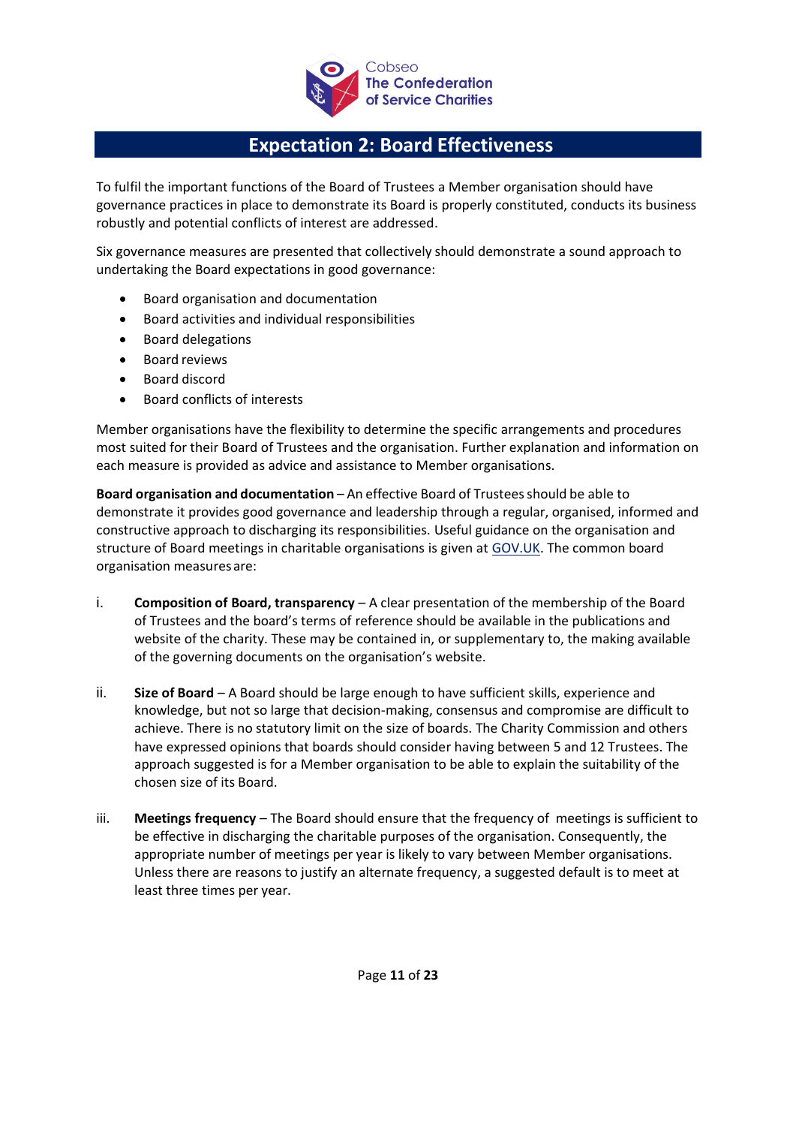

# **Expectation 2: Board Effectiveness**

<span id="page-10-0"></span>To fulfil the important functions of the Board of Trustees a Member organisation should have governance practices in place to demonstrate its Board is properly constituted, conducts its business robustly and potential conflicts of interest are addressed.

Six governance measures are presented that collectively should demonstrate a sound approach to undertaking the Board expectations in good governance:

- Board organisation and documentation
- Board activities and individual responsibilities
- Board delegations
- Board reviews
- Board discord
- Board conflicts of interests

Member organisations have the flexibility to determine the specific arrangements and procedures most suited for their Board of Trustees and the organisation. Further explanation and information on each measure is provided as advice and assistance to Member organisations.

<span id="page-10-1"></span>**Board organisation and documentation** – An effective Board of Trusteesshould be able to demonstrate it provides good governance and leadership through a regular, organised, informed and constructive approach to discharging its responsibilities. Useful guidance on the organisation and structure of Board meetings in charitable organisations is given at [GOV.UK.](http://www.gov.uk/government/publications/charities-and-meetings-cc48/charities-and-meetings) The common board organisation measuresare:

- i. **Composition of Board, transparency**  A clear presentation of the membership of the Board of Trustees and the board's terms of reference should be available in the publications and website of the charity. These may be contained in, or supplementary to, the making available of the governing documents on the organisation's website.
- ii. **Size of Board**  A Board should be large enough to have sufficient skills, experience and knowledge, but not so large that decision-making, consensus and compromise are difficult to achieve. There is no statutory limit on the size of boards. The Charity Commission and others have expressed opinions that boards should consider having between 5 and 12 Trustees. The approach suggested is for a Member organisation to be able to explain the suitability of the chosen size of its Board.
- iii. **Meetings frequency** The Board should ensure that the frequency of meetings is sufficient to be effective in discharging the charitable purposes of the organisation. Consequently, the appropriate number of meetings per year is likely to vary between Member organisations. Unless there are reasons to justify an alternate frequency, a suggested default is to meet at least three times per year.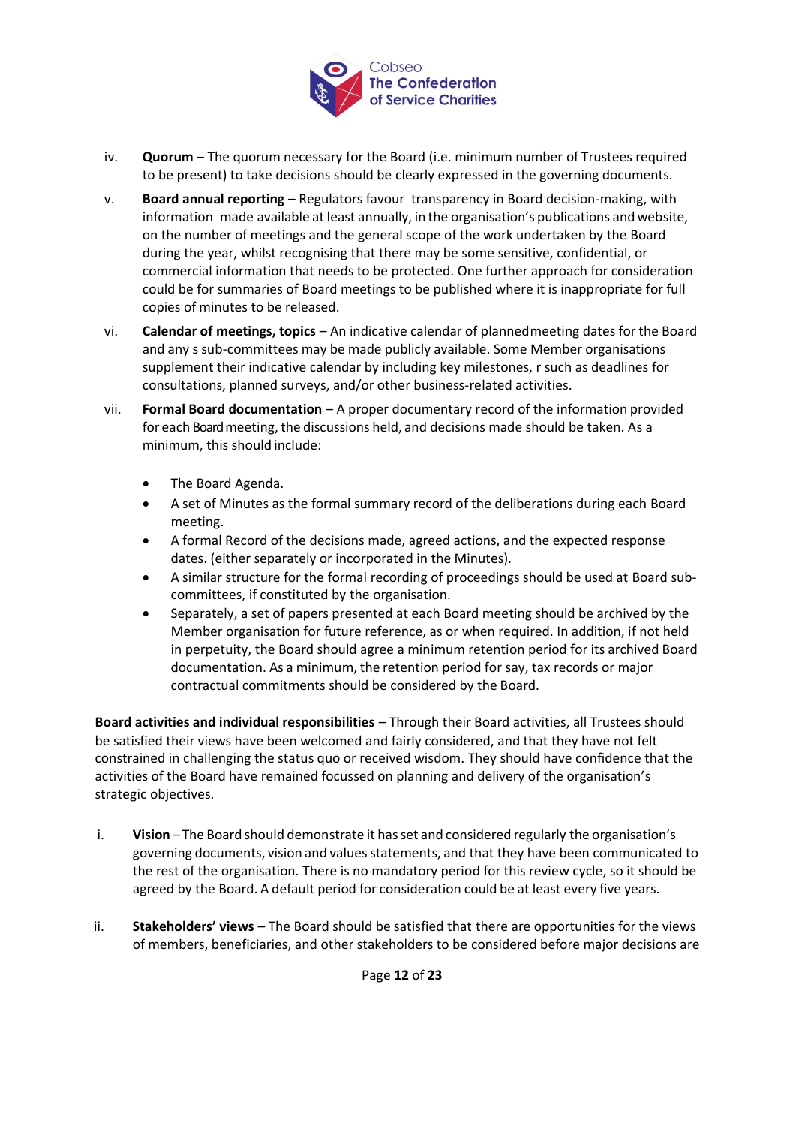

- iv. **Quorum**  The quorum necessary for the Board (i.e. minimum number of Trustees required to be present) to take decisions should be clearly expressed in the governing documents.
- v. **Board annual reporting**  Regulators favour transparency in Board decision-making, with information made available at least annually, in the organisation's publications and website, on the number of meetings and the general scope of the work undertaken by the Board during the year, whilst recognising that there may be some sensitive, confidential, or commercial information that needs to be protected. One further approach for consideration could be for summaries of Board meetings to be published where it is inappropriate for full copies of minutes to be released.
- vi. **Calendar of meetings, topics**  An indicative calendar of plannedmeeting dates for the Board and any s sub-committees may be made publicly available. Some Member organisations supplement their indicative calendar by including key milestones, r such as deadlines for consultations, planned surveys, and/or other business-related activities.
- vii. **Formal Board documentation**  A proper documentary record of the information provided for each Board meeting, the discussions held, and decisions made should be taken. As a minimum, this should include:
	- The Board Agenda.
	- A set of Minutes as the formal summary record of the deliberations during each Board meeting.
	- A formal Record of the decisions made, agreed actions, and the expected response dates. (either separately or incorporated in the Minutes).
	- A similar structure for the formal recording of proceedings should be used at Board subcommittees, if constituted by the organisation.
	- Separately, a set of papers presented at each Board meeting should be archived by the Member organisation for future reference, as or when required. In addition, if not held in perpetuity, the Board should agree a minimum retention period for its archived Board documentation. As a minimum, the retention period for say, tax records or major contractual commitments should be considered by the Board.

<span id="page-11-0"></span>**Board activities and individual responsibilities** – Through their Board activities, all Trustees should be satisfied their views have been welcomed and fairly considered, and that they have not felt constrained in challenging the status quo or received wisdom. They should have confidence that the activities of the Board have remained focussed on planning and delivery of the organisation's strategic objectives.

- i. **Vision** The Board should demonstrate it hasset and considered regularly the organisation's governing documents, vision and values statements, and that they have been communicated to the rest of the organisation. There is no mandatory period for this review cycle, so it should be agreed by the Board. A default period for consideration could be at least every five years.
- ii. **Stakeholders' views**  The Board should be satisfied that there are opportunities for the views of members, beneficiaries, and other stakeholders to be considered before major decisions are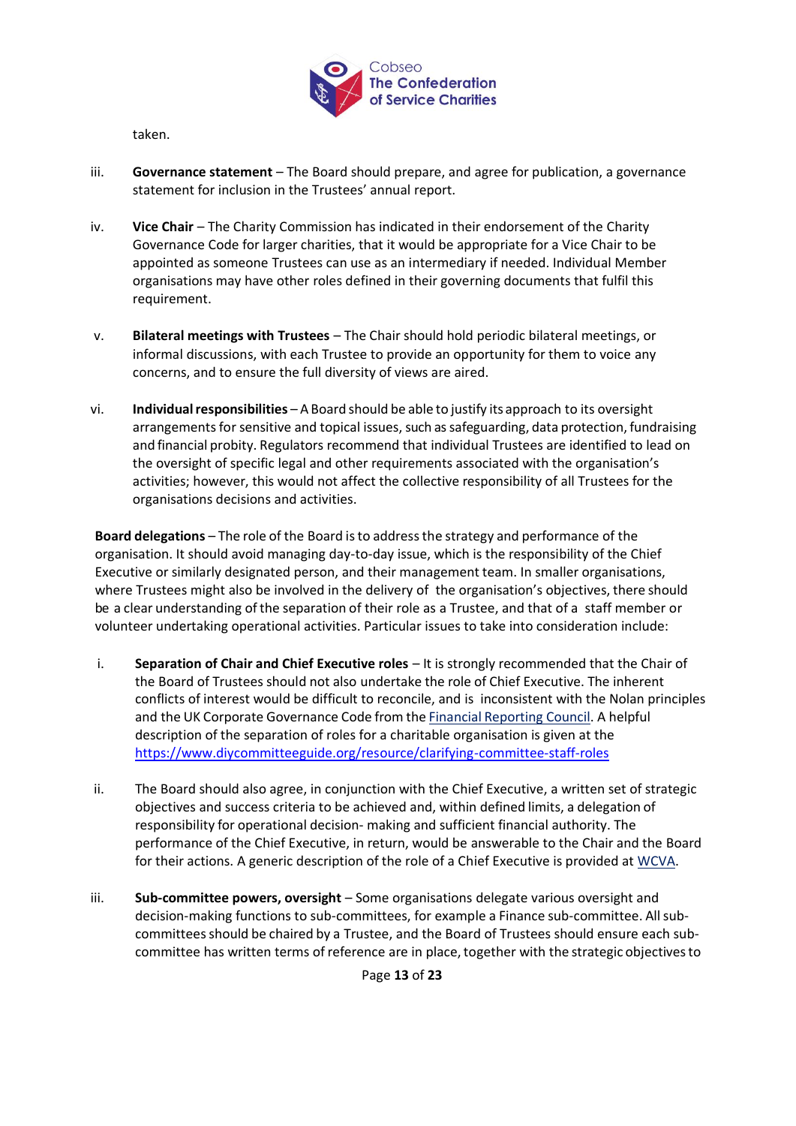

taken.

- iii. **Governance statement**  The Board should prepare, and agree for publication, a governance statement for inclusion in the Trustees' annual report.
- iv. **Vice Chair**  The Charity Commission has indicated in their endorsement of the Charity Governance Code for larger charities, that it would be appropriate for a Vice Chair to be appointed as someone Trustees can use as an intermediary if needed. Individual Member organisations may have other roles defined in their governing documents that fulfil this requirement.
- v. **Bilateral meetings with Trustees**  The Chair should hold periodic bilateral meetings, or informal discussions, with each Trustee to provide an opportunity for them to voice any concerns, and to ensure the full diversity of views are aired.
- vi. **Individual responsibilities** A Board should be able to justify its approach to its oversight arrangements for sensitive and topical issues, such as safeguarding, data protection, fundraising and financial probity. Regulators recommend that individual Trustees are identified to lead on the oversight of specific legal and other requirements associated with the organisation's activities; however, this would not affect the collective responsibility of all Trustees for the organisations decisions and activities.

<span id="page-12-0"></span>**Board delegations** – The role of the Board isto addressthe strategy and performance of the organisation. It should avoid managing day-to-day issue, which is the responsibility of the Chief Executive or similarly designated person, and their management team. In smaller organisations, where Trustees might also be involved in the delivery of the organisation's objectives, there should be a clear understanding of the separation of their role as a Trustee, and that of a staff member or volunteer undertaking operational activities. Particular issues to take into consideration include:

- i. **Separation of Chair and Chief Executive roles** It is strongly recommended that the Chair of the Board of Trustees should not also undertake the role of Chief Executive. The inherent conflicts of interest would be difficult to reconcile, and is inconsistent with the Nolan principles and the UK Corporate Governance Code from the **Financial [Reporting](http://www.frc.org.uk/getattachment/ca7e94c4-b9a9-49e2-a824-ad76a322873c/UK-Corporate-Governance-Code-April-2016.pdf) Council**. A helpful description of the separation of roles for a charitable organisation is given at the <https://www.diycommitteeguide.org/resource/clarifying-committee-staff-roles>
- ii. The Board should also agree, in conjunction with the Chief Executive, a written set of strategic objectives and success criteria to be achieved and, within defined limits, a delegation of responsibility for operational decision- making and sufficient financial authority. The performance of the Chief Executive, in return, would be answerable to the Chair and the Board for their actions. A generic description of the role of a Chief Executive is provided at [WCVA.](http://www.wcva-ids.org.uk/wcva/1152)
- iii. **Sub-committee powers, oversight** Some organisations delegate various oversight and decision-making functions to sub-committees, for example a Finance sub-committee. All subcommitteesshould be chaired by a Trustee, and the Board of Trustees should ensure each subcommittee has written terms of reference are in place, together with the strategic objectives to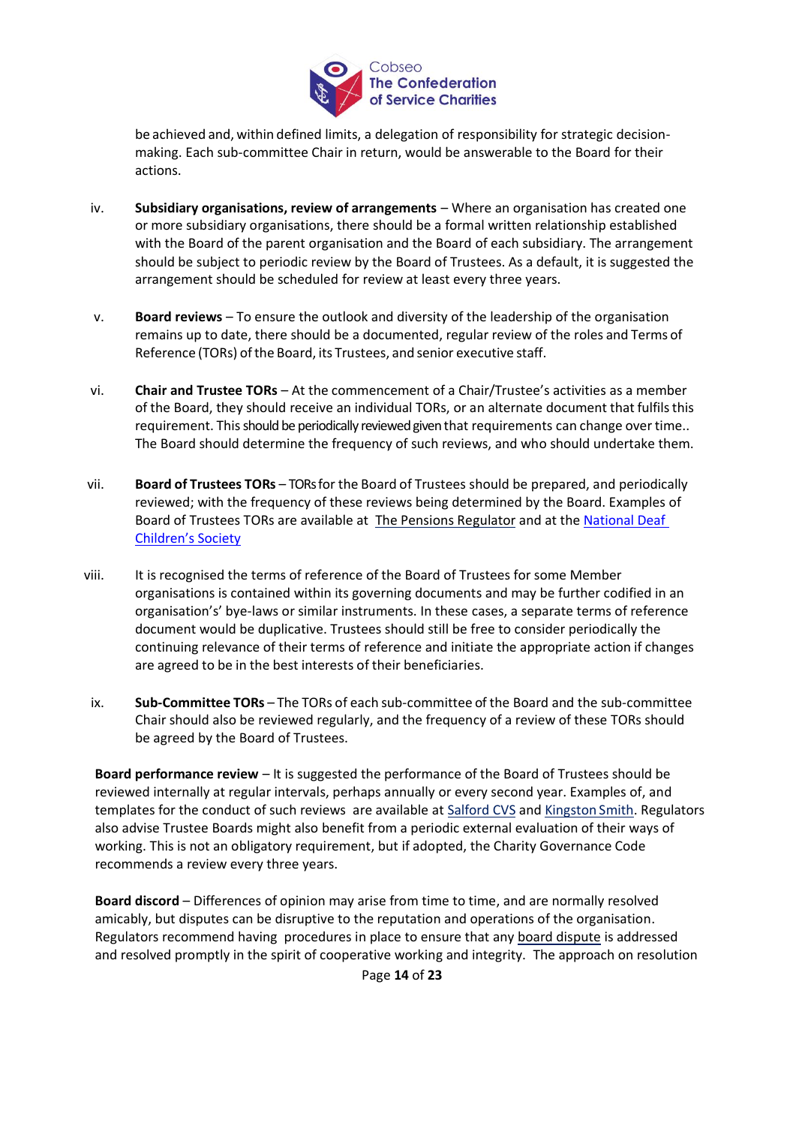

be achieved and, within defined limits, a delegation of responsibility for strategic decisionmaking. Each sub-committee Chair in return, would be answerable to the Board for their actions.

- iv. **Subsidiary organisations, review of arrangements**  Where an organisation has created one or more subsidiary organisations, there should be a formal written relationship established with the Board of the parent organisation and the Board of each subsidiary. The arrangement should be subject to periodic review by the Board of Trustees. As a default, it is suggested the arrangement should be scheduled for review at least every three years.
- <span id="page-13-0"></span>v. **Board reviews** – To ensure the outlook and diversity of the leadership of the organisation remains up to date, there should be a documented, regular review of the roles and Terms of Reference (TORs) of the Board, its Trustees, and senior executive staff.
- vi. **Chair and Trustee TORs** At the commencement of a Chair/Trustee's activities as a member of the Board, they should receive an individual TORs, or an alternate document that fulfilsthis requirement. This should be periodically reviewed given that requirements can change over time.. The Board should determine the frequency of such reviews, and who should undertake them.
- vii. **Board of Trustees TORs** TORs for the Board of Trustees should be prepared, and periodically reviewed; with the frequency of these reviews being determined by the Board. Examples of Board of Trustees TORs are available at [The Pensions Regulator](https://www.thepensionsregulator.gov.uk/-/media/thepensionsregulator/files/import/pdf/example-terms-of-reference.ashx) and at th[e National Deaf](https://www.ndcs.org.uk/media/3446/terms-of-reference-updated.pdf)  [Children's Society](https://www.ndcs.org.uk/media/3446/terms-of-reference-updated.pdf)
- viii. It is recognised the terms of reference of the Board of Trustees for some Member organisations is contained within its governing documents and may be further codified in an organisation's' bye-laws or similar instruments. In these cases, a separate terms of reference document would be duplicative. Trustees should still be free to consider periodically the continuing relevance of their terms of reference and initiate the appropriate action if changes are agreed to be in the best interests of their beneficiaries.
- ix. **Sub-Committee TORs** The TORs of each sub-committee of the Board and the sub-committee Chair should also be reviewed regularly, and the frequency of a review of these TORs should be agreed by the Board of Trustees.

**Board performance review** – It is suggested the performance of the Board of Trustees should be reviewed internally at regular intervals, perhaps annually or every second year. Examples of, and templates for the conduct of such reviews are available at [Salford CVS](http://www.salfordcvs.co.uk/sites/salfordcvs.co.uk/files/Board%20Review.doc) and [Kingston](http://www.kingstonsmith.co.uk/upload/pdf/Charties%20Governance%20Toolkit_Final.pdf) Smith. Regulators also advise Trustee Boards might also benefit from a periodic external evaluation of their ways of working. This is not an obligatory requirement, but if adopted, the Charity Governance Code recommends a review every three years.

<span id="page-13-1"></span>**Board discord** – Differences of opinion may arise from time to time, and are normally resolved amicably, but disputes can be disruptive to the reputation and operations of the organisation. Regulators recommend having procedures in place to ensure that any [board dispute](http://www.gov.uk/guidance/disagreements-and-disputes-in-charities) is addressed and resolved promptly in the spirit of cooperative working and integrity. The approach on resolution

Page **14** of **23**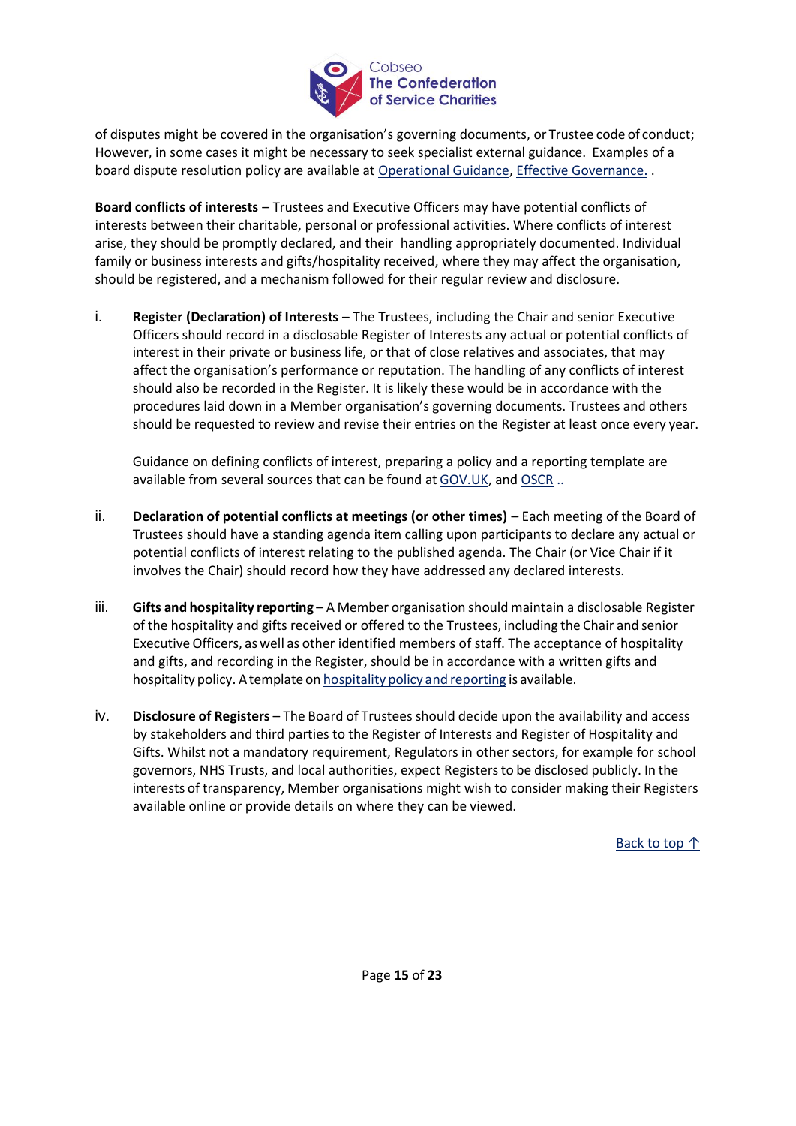

of disputes might be covered in the organisation's governing documents, or Trustee code of conduct; However, in some cases it might be necessary to seek specialist external guidance. Examples of a board dispute resolution policy are available at [Operational Guidance,](http://ogs.charitycommission.gov.uk/g565a001.aspx) [Effective Governance.](http://www.effectivegovernance.com.au/wp-content/uploads/2015/06/eG-Board-Dispute-Resolution-Policy_2015.pdf) .

<span id="page-14-0"></span>**Board conflicts of interests** – Trustees and Executive Officers may have potential conflicts of interests between their charitable, personal or professional activities. Where conflicts of interest arise, they should be promptly declared, and their handling appropriately documented. Individual family or business interests and gifts/hospitality received, where they may affect the organisation, should be registered, and a mechanism followed for their regular review and disclosure.

i. **Register (Declaration) of Interests** – The Trustees, including the Chair and senior Executive Officers should record in a disclosable Register of Interests any actual or potential conflicts of interest in their private or business life, or that of close relatives and associates, that may affect the organisation's performance or reputation. The handling of any conflicts of interest should also be recorded in the Register. It is likely these would be in accordance with the procedures laid down in a Member organisation's governing documents. Trustees and others should be requested to review and revise their entries on the Register at least once every year.

Guidance on defining conflicts of interest, preparing a policy and a reporting template are available from several sources that can be found a[t GOV.UK,](http://www.gov.uk/guidance/manage-a-conflict-of-interest-in-your-charity) and OSCR ..

- ii. **Declaration of potential conflicts at meetings (or other times)** Each meeting of the Board of Trustees should have a standing agenda item calling upon participants to declare any actual or potential conflicts of interest relating to the published agenda. The Chair (or Vice Chair if it involves the Chair) should record how they have addressed any declared interests.
- iii. **Gifts and hospitality reporting** A Member organisation should maintain a disclosable Register of the hospitality and gifts received or offered to the Trustees, including the Chair and senior ExecutiveOfficers, as well as other identified members of staff. The acceptance of hospitality and gifts, and recording in the Register, should be in accordance with a written gifts and [hospitality](https://assets.publishing.service.gov.uk/government/uploads/system/uploads/attachment_data/file/314150/Gifts_and_Hospitality_Policy.pdf) policy. A template on hospitality policy and reporting is available.
- iv. **Disclosure of Registers** The Board of Trustees should decide upon the availability and access by stakeholders and third parties to the Register of Interests and Register of Hospitality and Gifts. Whilst not a mandatory requirement, Regulators in other sectors, for example for school governors, NHS Trusts, and local authorities, expect Registersto be disclosed publicly. In the interests of transparency, Member organisations might wish to consider making their Registers available online or provide details on where they can be viewed.

Back to top ↑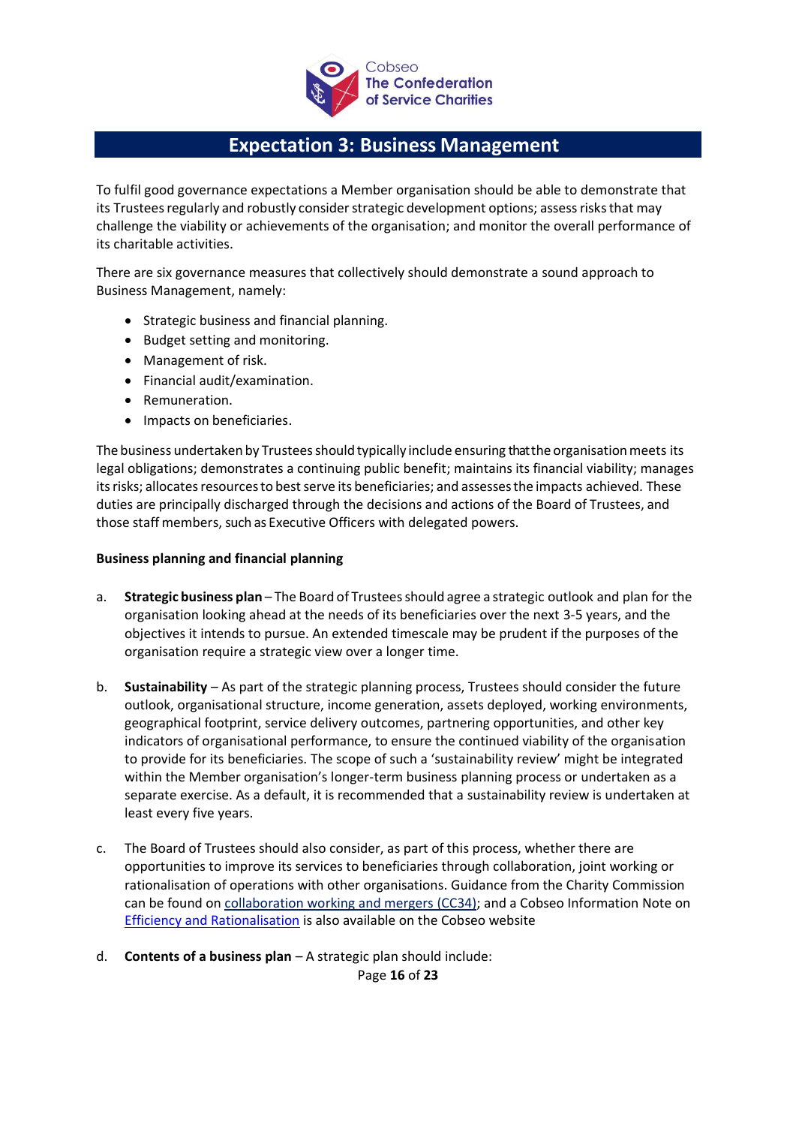

# **Expectation 3: Business Management**

<span id="page-15-0"></span>To fulfil good governance expectations a Member organisation should be able to demonstrate that its Trustees regularly and robustly consider strategic development options; assess risks that may challenge the viability or achievements of the organisation; and monitor the overall performance of its charitable activities.

There are six governance measures that collectively should demonstrate a sound approach to Business Management, namely:

- Strategic business and financial planning.
- Budget setting and monitoring.
- Management of risk.
- Financial audit/examination.
- Remuneration.
- Impacts on beneficiaries.

The business undertaken by Trustees should typically include ensuring that the organisation meets its legal obligations; demonstrates a continuing public benefit; maintains its financial viability; manages its risks; allocates resources to best serve its beneficiaries; and assesses the impacts achieved. These duties are principally discharged through the decisions and actions of the Board of Trustees, and those staff members, such as Executive Officers with delegated powers.

## <span id="page-15-1"></span>**Business planning and financial planning**

- a. **Strategic business plan** The Board of Trusteesshould agree a strategic outlook and plan for the organisation looking ahead at the needs of its beneficiaries over the next 3-5 years, and the objectives it intends to pursue. An extended timescale may be prudent if the purposes of the organisation require a strategic view over a longer time.
- b. **Sustainability**  As part of the strategic planning process, Trustees should consider the future outlook, organisational structure, income generation, assets deployed, working environments, geographical footprint, service delivery outcomes, partnering opportunities, and other key indicators of organisational performance, to ensure the continued viability of the organisation to provide for its beneficiaries. The scope of such a 'sustainability review' might be integrated within the Member organisation's longer-term business planning process or undertaken as a separate exercise. As a default, it is recommended that a sustainability review is undertaken at least every five years.
- c. The Board of Trustees should also consider, as part of this process, whether there are opportunities to improve its services to beneficiaries through collaboration, joint working or rationalisation of operations with other organisations. Guidance from the Charity Commission can be found on [collaboration working and mergers \(CC34\);](https://www.gov.uk/government/publications/collaborative-working-and-mergers-an-introduction-cc34) and a Cobseo Information Note on [Efficiency and Rationalisation](https://www.cobseo.org.uk/governance/efficiencies/) is also available on the Cobseo website
- d. **Contents of a business plan**  A strategic plan should include:

Page **16** of **23**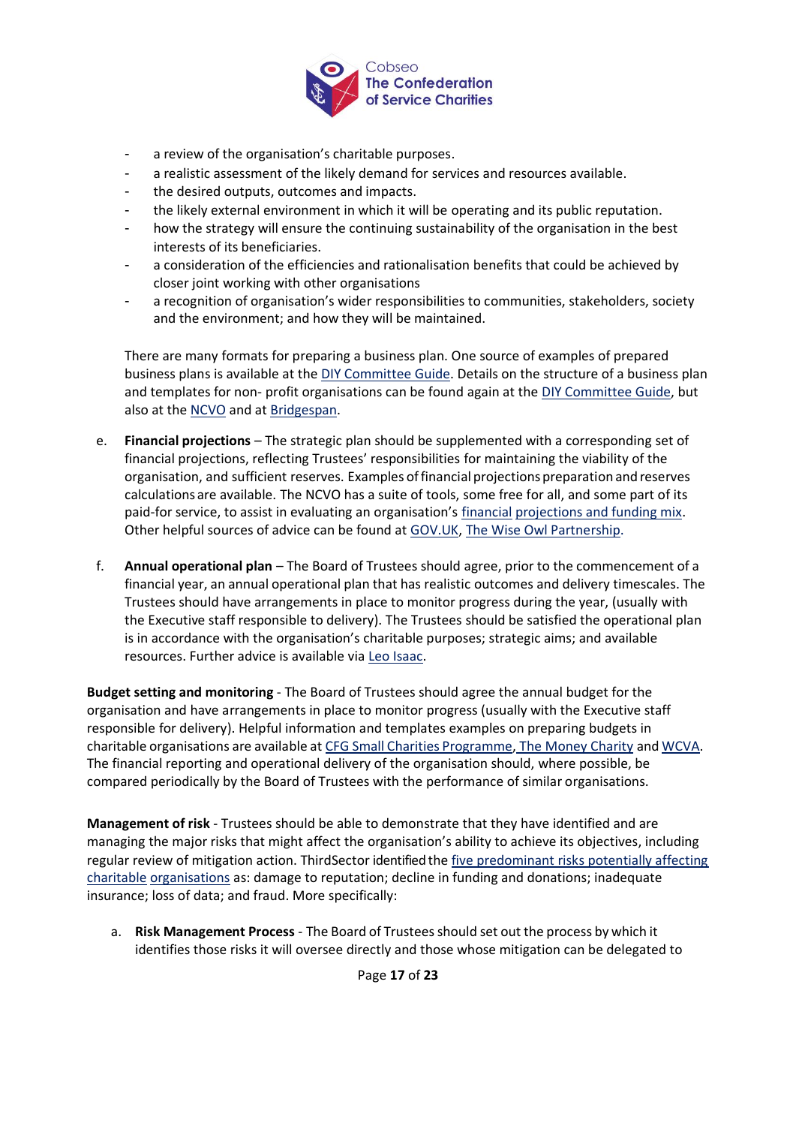

- a review of the organisation's charitable purposes.
- a realistic assessment of the likely demand for services and resources available.
- the desired outputs, outcomes and impacts.
- the likely external environment in which it will be operating and its public reputation.
- how the strategy will ensure the continuing sustainability of the organisation in the best interests of its beneficiaries.
- a consideration of the efficiencies and rationalisation benefits that could be achieved by closer joint working with other organisations
- a recognition of organisation's wider responsibilities to communities, stakeholders, society and the environment; and how they will be maintained.

There are many formats for preparing a business plan. One source of examples of prepared business plans is available at the [DIY Committee](https://www.diycommitteeguide.org/download/example-strategic-plans) [Guide.](http://www.diycommitteeguide.org/download/example-strategic-plans) Details on the structure of a business plan and templates for non- profit organisations can be found again at the [DIY Committee Guide,](https://www.diycommitteeguide.org/download/strategic-plan-step-1-who-should-be-involved) but also at th[e NCVO](https://knowhownonprofit.org/organisation/strategy/options/plan) and at [Bridgespan.](http://www.bridgespan.org/insights/library/strategy-development/sample-nonprofit-business-plans)

- e. **Financial projections**  The strategic plan should be supplemented with a corresponding set of financial projections, reflecting Trustees' responsibilities for maintaining the viability of the organisation, and sufficient reserves. Examples offinancial projections preparation and reserves calculations are available. The NCVO has a suite of tools, some free for all, and some part of its paid-for service, to assist in evaluating an organisation's [financial](https://knowhow.ncvo.org.uk/tools-resources/financial-procedures-manual) projections and funding mix. Other helpful sources of advice can be found at [GOV.UK,](http://www.gov.uk/government/publications/charities-and-reserves-cc19) [The Wise Owl Partnership.](https://thewiseowlpartnership.co.uk/the-reserves-calculator)
- f. **Annual operational plan**  The Board of Trustees should agree, prior to the commencement of a financial year, an annual operational plan that has realistic outcomes and delivery timescales. The Trustees should have arrangements in place to monitor progress during the year, (usually with the Executive staff responsible to delivery). The Trustees should be satisfied the operational plan is in accordance with the organisation's charitable purposes; strategic aims; and available resources. Further advice is available via [Leo Isaac.](http://www.leoisaac.com/operations/ops001.htm)

<span id="page-16-0"></span>**Budget setting and monitoring** - The Board of Trustees should agree the annual budget for the organisation and have arrangements in place to monitor progress (usually with the Executive staff responsible for delivery). Helpful information and templates examples on preparing budgets in charitable organisations are available at CFG Small Charities [Programme,](http://smallcharityfinance.org.uk/budgets) [The Money Charity](https://budgetbuilder.themoneycharity.org.uk/) and [WCVA.](http://www.wcva-ids.org.uk/wcva/1095) The financial reporting and operational delivery of the organisation should, where possible, be compared periodically by the Board of Trustees with the performance of similar organisations.

<span id="page-16-1"></span>**Management of risk** - Trustees should be able to demonstrate that they have identified and are managing the major risks that might affect the organisation's ability to achieve its objectives, including regular review of mitigation action. ThirdSector identified the [five predominant risks potentially affecting](http://www.thirdsector.co.uk/five-big-risks-facing-small-charities/finance/article/1286277)  [charitable](http://www.thirdsector.co.uk/five-big-risks-facing-small-charities/finance/article/1286277) [organisations](http://www.thirdsector.co.uk/five-big-risks-facing-small-charities/finance/article/1286277) as: damage to reputation; decline in funding and donations; inadequate insurance; loss of data; and fraud. More specifically:

a. **Risk Management Process** - The Board of Trusteesshould set out the process by which it identifies those risks it will oversee directly and those whose mitigation can be delegated to

Page **17** of **23**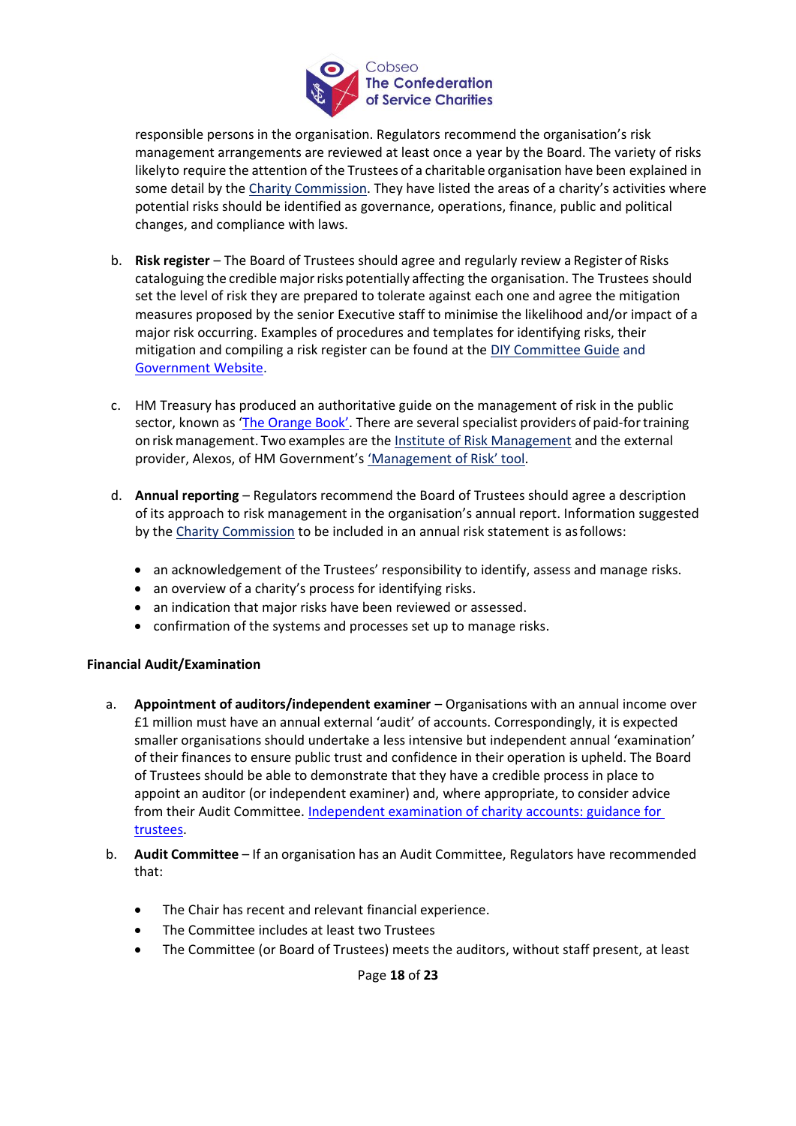

responsible persons in the organisation. Regulators recommend the organisation's risk management arrangements are reviewed at least once a year by the Board. The variety of risks likelyto require the attention of the Trustees of a charitable organisation have been explained in some detail by the Charity [Commission](http://www.gov.uk/government/publications/charities-and-risk-management-cc26). They have listed the areas of a charity's activities where potential risks should be identified as governance, operations, finance, public and political changes, and compliance with laws.

- b. **Risk register**  The Board of Trustees should agree and regularly review a Register of Risks cataloguing the credible major risks potentially affecting the organisation. The Trustees should set the level of risk they are prepared to tolerate against each one and agree the mitigation measures proposed by the senior Executive staff to minimise the likelihood and/or impact of a major risk occurring. Examples of procedures and templates for identifying risks, their mitigation and compiling a risk register can be found at the [DIY Committee Guide](https://www.diycommitteeguide.org/code/principle/risk-management) and [Government Website.](https://www.gov.uk/government/publications/charities-and-risk-management-cc26/charities-and-risk-management-cc26#annex-1-risk-register-template-with-examples-of-use)
- c. HM Treasury has produced an authoritative guide on the management of risk in the public sector, known as ['The Orange Book'](https://www.gov.uk/government/publications/orange-book). There are several specialist providers of paid-fortraining on risk management. Two examples are the [Institute of Risk Management](http://www.theirm.org/training.aspx) and the external provider, Alexos, of HM Government's ['Management of Risk'](https://www.gov.uk/government/publications/management-of-risk-in-government-framework) tool.
- d. **Annual reporting**  Regulators recommend the Board of Trustees should agree a description of its approach to risk management in the organisation's annual report. Information suggested by the [Charity](http://www.gov.uk/guidance/how-to-manage-risks-in-your-charity#what-to-include-in-a-risk-management-statement) [Commission](http://www.gov.uk/guidance/how-to-manage-risks-in-your-charity#what-to-include-in-a-risk-management-statement) to be included in an annual risk statement is asfollows:
	- an acknowledgement of the Trustees' responsibility to identify, assess and manage risks.
	- an overview of a charity's process for identifying risks.
	- an indication that major risks have been reviewed or assessed.
	- confirmation of the systems and processes set up to manage risks.

## <span id="page-17-0"></span>**Financial Audit/Examination**

- a. **Appointment of auditors/independent examiner**  Organisations with an annual income over £1 million must have an annual external 'audit' of accounts. Correspondingly, it is expected smaller organisations should undertake a less intensive but independent annual 'examination' of their finances to ensure public trust and confidence in their operation is upheld. The Board of Trustees should be able to demonstrate that they have a credible process in place to appoint an auditor (or independent examiner) and, where appropriate, to consider advice from their Audit Committee. [Independent examination of charity accounts: guidance for](https://www.gov.uk/government/publications/independent-examination-of-charity-accounts-trustees-cc31/independent-examination-of-charity-accounts-trustees)  [trustees.](https://www.gov.uk/government/publications/independent-examination-of-charity-accounts-trustees-cc31/independent-examination-of-charity-accounts-trustees)
- b. **Audit Committee** If an organisation has an Audit Committee, Regulators have recommended that:
	- The Chair has recent and relevant financial experience.
	- The Committee includes at least two Trustees
	- The Committee (or Board of Trustees) meets the auditors, without staff present, at least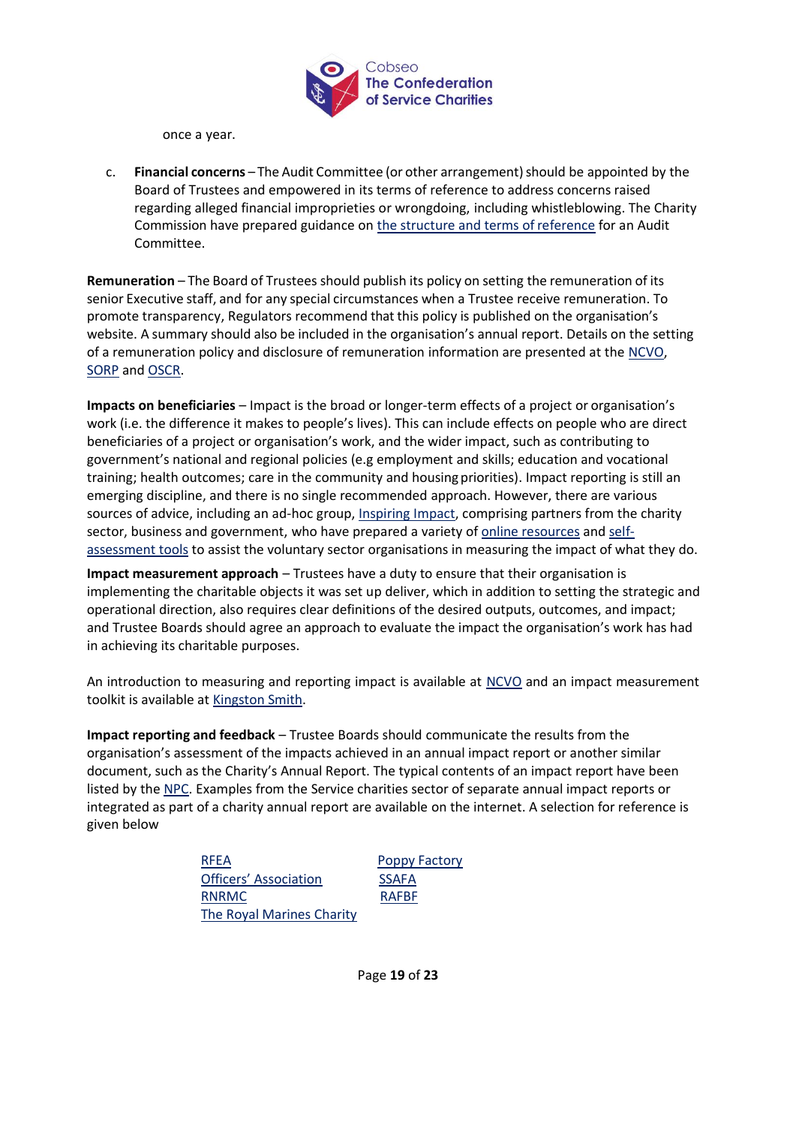

once a year.

c. **Financial concerns** – The Audit Committee (or other arrangement)should be appointed by the Board of Trustees and empowered in its terms of reference to address concerns raised regarding alleged financial improprieties or wrongdoing, including whistleblowing. The Charity Commission have prepared guidance on the structure and terms of reference for an Audit Committee.

<span id="page-18-0"></span>**Remuneration** – The Board of Trustees should publish its policy on setting the remuneration of its senior Executive staff, and for any special circumstances when a Trustee receive remuneration. To promote transparency, Regulators recommend that this policy is published on the organisation's website. A summary should also be included in the organisation's annual report. Details on the setting of a remuneration policy and disclosure of remuneration information are presented at the [NCVO,](http://www.ncvo.org.uk/images/documents/practical_support/governance/NCVO_guide_on_setting_and_communicating_remuneration_policies_for_charities.pdf) [SORP](http://www.charitysorp.org/media/620787/frs102_module-9.pdf) and [OSCR.](http://www.oscr.org.uk/managing-a-charity/trustee-duties/trustee-remuneration)

<span id="page-18-1"></span>**Impacts on beneficiaries** – Impact is the broad or longer-term effects of a project or organisation's work (i.e. the difference it makes to people's lives). This can include effects on people who are direct beneficiaries of a project or organisation's work, and the wider impact, such as contributing to government's national and regional policies (e.g employment and skills; education and vocational training; health outcomes; care in the community and housing priorities). Impact reporting is still an emerging discipline, and there is no single recommended approach. However, there are various sources of advice, including an ad-hoc group, [Inspiring Impact,](https://www.inspiringimpact.org/) comprising partners from the charity sector, business and government, who have prepared a variety of [online resources](https://www.inspiringimpact.org/resource-library/) and [self](https://www.inspiringimpact.org/self-assessments/)[assessment tools](https://www.inspiringimpact.org/self-assessments/) to assist the voluntary sector organisations in measuring the impact of what they do.

**Impact measurement approach** – Trustees have a duty to ensure that their organisation is implementing the charitable objects it was set up deliver, which in addition to setting the strategic and operational direction, also requires clear definitions of the desired outputs, outcomes, and impact; and Trustee Boards should agree an approach to evaluate the impact the organisation's work has had in achieving its charitable purposes.

An introduction to measuring and reporting impact is available at [NCVO](https://knowhownonprofit.org/organisation/impact) and an impact measurement toolkit is available at [Kingston Smith.](http://www.kingstonsmith.co.uk/upload/pdf/ImpactToolkit2013_updated_FINAL_1.pdf)

**Impact reporting and feedback** – Trustee Boards should communicate the results from the organisation's assessment of the impacts achieved in an annual impact report or another similar document, such as the Charity's Annual Report. The typical contents of an impact report have been listed by th[e NPC.](http://www.thinknpc.org/blog/how-to-write-an-impact-report) Examples from the Service charities sector of separate annual impact reports or integrated as part of a charity annual report are available on the internet. A selection for reference is given below

| <b>RFEA</b>               | <b>Poppy Factory</b> |
|---------------------------|----------------------|
| Officers' Association     | <b>SSAFA</b>         |
| <b>RNRMC</b>              | <b>RAFBF</b>         |
| The Royal Marines Charity |                      |

Page **19** of **23**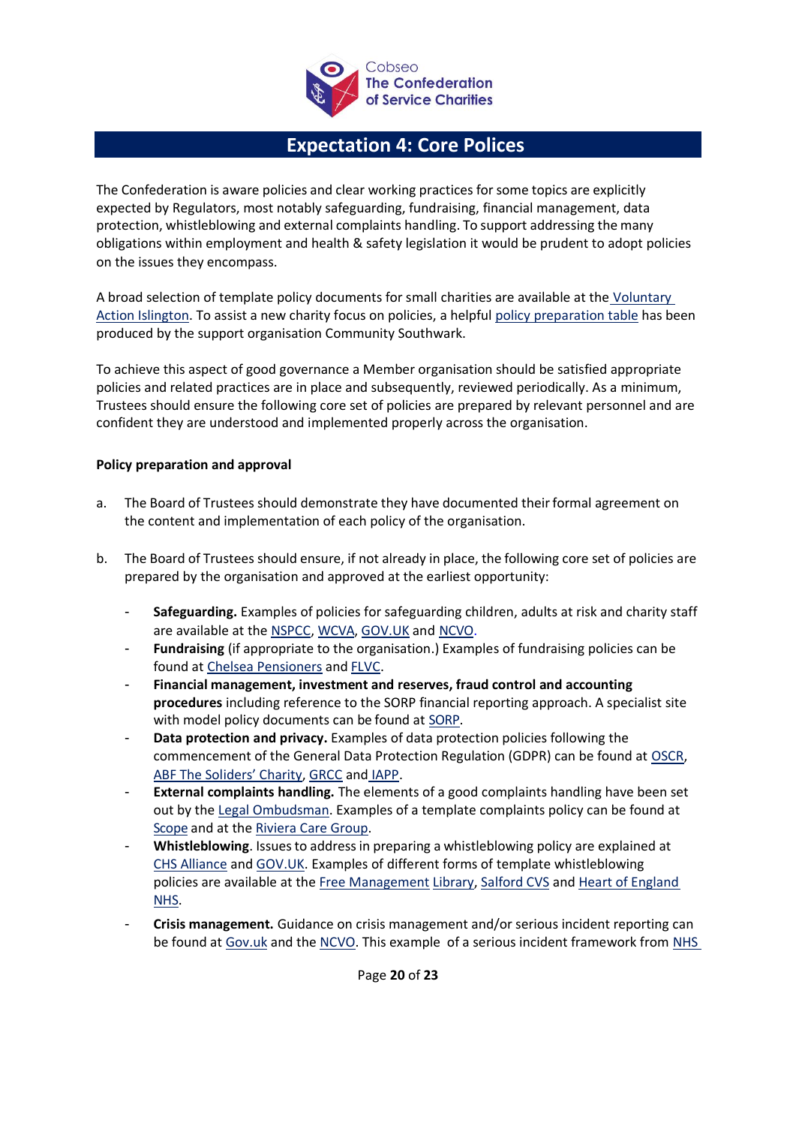

# **Expectation 4: Core Polices**

<span id="page-19-0"></span>The Confederation is aware policies and clear working practices for some topics are explicitly expected by Regulators, most notably safeguarding, fundraising, financial management, data protection, whistleblowing and external complaints handling. To support addressing the many obligations within employment and health & safety legislation it would be prudent to adopt policies on the issues they encompass.

A broad selection of template policy documents for small charities are available at the Voluntary [Action Islington.](https://vai.org.uk/services/policies-resources-and-toolkits) To assist a new charity focus on policies, a helpful [policy](https://www.communitysouthwark.org/policies-and-procedures-guide-and-checklist) [preparation table](https://www.communitysouthwark.org/policies-and-procedures-guide-and-checklist) has been produced by the support organisation Community Southwark.

To achieve this aspect of good governance a Member organisation should be satisfied appropriate policies and related practices are in place and subsequently, reviewed periodically. As a minimum, Trustees should ensure the following core set of policies are prepared by relevant personnel and are confident they are understood and implemented properly across the organisation.

## <span id="page-19-1"></span>**Policy preparation and approval**

- a. The Board of Trustees should demonstrate they have documented their formal agreement on the content and implementation of each policy of the organisation.
- b. The Board of Trustees should ensure, if not already in place, the following core set of policies are prepared by the organisation and approved at the earliest opportunity:
	- **Safeguarding.** Examples of policies for safeguarding children, adults at risk and charity staff are available at the [NSPCC,](http://www.nspcc.org.uk/preventing-abuse/safeguarding/writing-a-safeguarding-policy/) WCVA, [GOV.UK](https://www.gov.uk/guidance/safeguarding-duties-for-charity-trustees) and [NCVO.](http://www.knowhownonprofit.org/organisation/operations/safeguarding)
	- Fundraising (if appropriate to the organisation.) Examples of fundraising policies can be found at [Chelsea Pensioners](http://www.chelsea-pensioners.co.uk/ethical-fundraising-policy) and [FLVC.](http://flvc.org.uk/wp-content/uploads/2013/03/Fundraising-Policy-2013.pdf)
	- **Financial management, investment and reserves, fraud control and accounting procedures** including reference to the SORP financial reporting approach. A specialist site with model policy documents can be found at [SORP.](http://charitysorp.org/)
	- **Data protection and privacy.** Examples of data protection policies following the commencement of the General Data Protection Regulation (GDPR) can be found at [OSCR,](http://www.oscr.org.uk/media/3149/2018-05-01-oscr-data-protection-policy.pdf) [ABF The Soliders' Charity](http://www.soldierscharity.org/privacy/), [GRCC](http://www.grcc.org.uk/publications/templates) and [IAPP.](https://iapp.org/resources/article/sample-data-protection-policy-template-2)
	- **External complaints handling.** The elements of a good complaints handling have been set out by the [Legal Ombudsman.](http://www.legalombudsman.org.uk/wp-content/uploads/2014/09/Guide-Good-Complaints-Handling-BW.pdf) Examples of a [t](http://www.scope.org.uk/about-us/contact-us/complaints)emplate complaints policy can be found at [Scope](http://www.scope.org.uk/about-us/contact-us/complaints) and at the [Riviera Care](https://view.officeapps.live.com/op/view.aspx?src=http%3A%2F%2Fwww.rivieracare.co.uk%2Ffiles%2FComplaintsPolicy.doc) [Group.](https://view.officeapps.live.com/op/view.aspx?src=http%3A%2F%2Fwww.rivieracare.co.uk%2Ffiles%2FComplaintsPolicy.doc)
	- **Whistleblowing**. Issuesto addressin preparing a whistleblowing policy are explained at [CHS Alliance](https://www.chsalliance.org/get-support/resource/whistleblower-protection-guidance/) and [GOV.UK. E](http://www.gov.uk/guidance/whistleblowing-guidance-for-charity-employees)xamples of different forms of template whistleblowing policies are available [at the](https://managementhelp.org/misc/Sample-Whistleblower-Policy.pdf) Free [Ma](https://managementhelp.org/misc/Sample-Whistleblower-Policy.pdf)nagement Library, [Salford CVS](http://www.salfordcvs.co.uk/sites/salfordcvs.co.uk/files/Sample%20Whistleblowing%20Policy.pdf) and [Heart of England](http://www.heartofengland.nhs.uk/wp-content/uploads/Whistleblowing-Policy.pdf) [NHS.](http://www.heartofengland.nhs.uk/wp-content/uploads/Whistleblowing-Policy.pdf)
	- **Crisis management.** Guidance on crisis management and/or serious incident reporting can be found at [Gov.uk](https://www.gov.uk/guidance/how-to-report-a-serious-incident-in-your-charity) and the [NCVO.](https://blogs.ncvo.org.uk/2017/11/09/promoting-charity-accountability-understanding-disclosure-of-serious-incidents/) This example of a serious incident framework from NHS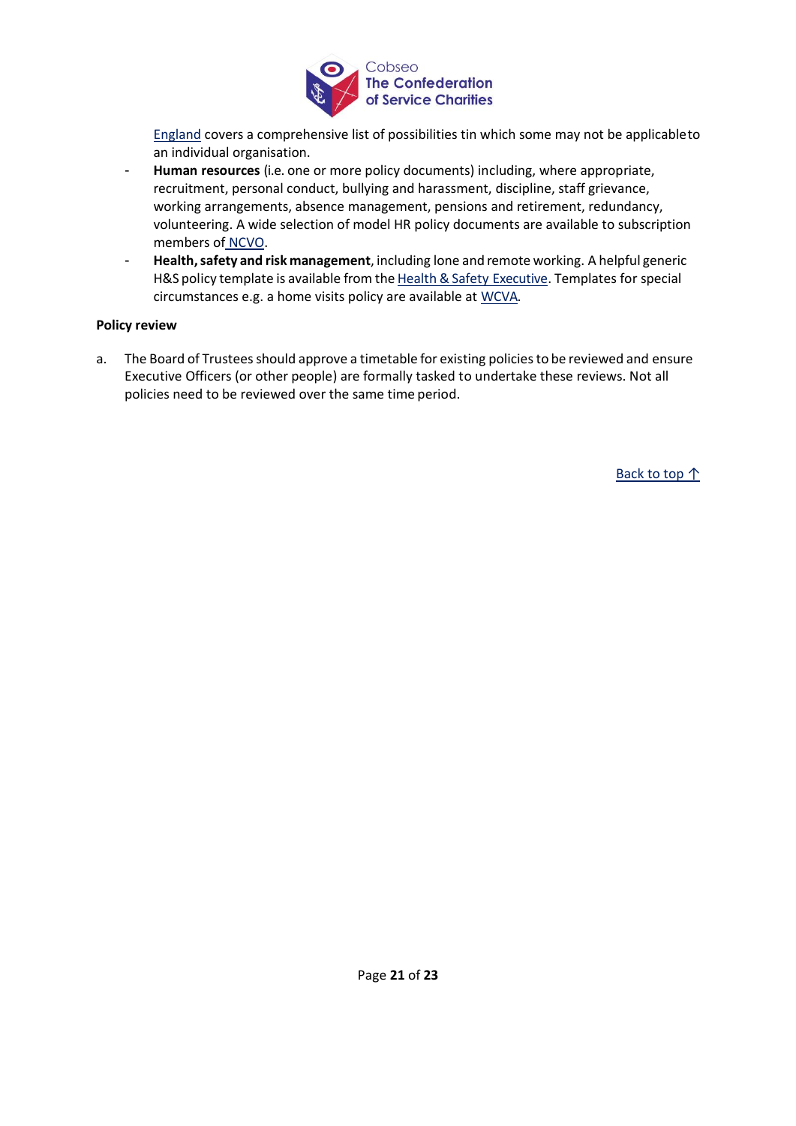

[England](https://www.england.nhs.uk/wp-content/uploads/2015/04/serious-incidnt-framwrk-upd.pdf) covers a comprehensive list of possibilities tin which some may not be applicableto an individual organisation.

- **[Human r](https://knowhownonprofit.org/tools-resources/hr-policies))esources** (i.e. one or more policy documents) including, where appropriate, recruitment, personal conduct, bullying and harassment, discipline, staff grievance, working arrangements, absence [management,](http://www.hse.gov.uk/simple-health-safety/write.htm) [pensions](http://www.hse.gov.uk/simple-health-safety/write.htm) and retirement, redundancy, volunteering. A wide selection of model HR policy documents are available to subscription members of NCVO.
- <span id="page-20-0"></span>- **Health,safety and risk management**, including lone and remote working. A helpful generic H&S policy template is available from the Health & Safety Executive. Templates for special circumstances e.g. a home visits policy are available at [WCVA.](https://www.wcva.org.uk/media/55317/8_guidelines_of_safety_for_home_visits_final_2014.pdf)

### **Policy review**

a. The Board of Trustees should approve a timetable for existing policies to be reviewed and ensure Executive Officers (or other people) are formally tasked to undertake these reviews. Not all policies need to be reviewed over the same time period.

Back to top ↑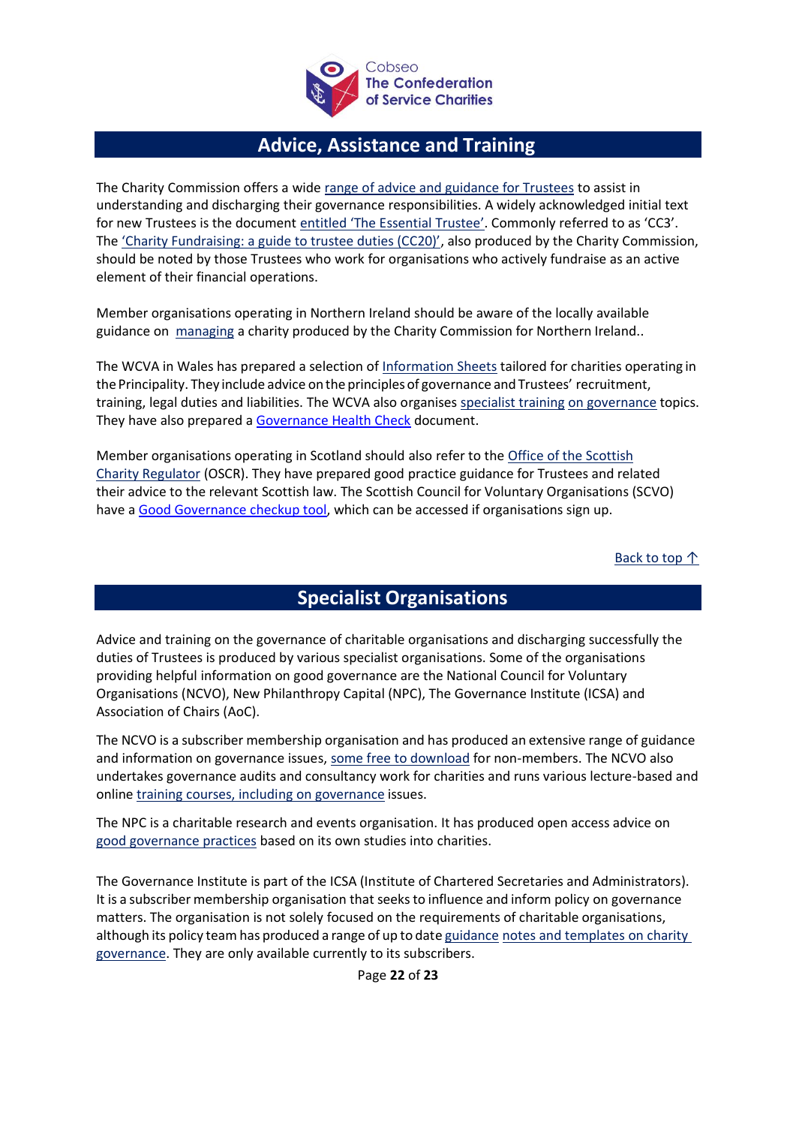

# **Advice, Assistance and Training**

<span id="page-21-0"></span>The Charity Commission offers a wide [range of advice and guidance for Trustees](http://www.gov.uk/topic/running-charity/trustee-role-board) to assist in understanding and discharging their governance responsibilities. A widely acknowledged initial text for new Trustees is the document [entitled 'The Essential Trustee'.](http://www.gov.uk/government/publications/the-essential-trustee-what-you-need-to-know-cc3) Commonly referred to as 'CC3'. The ['Charity Fundraising: a guide to trustee duties \(CC20\)'](https://www.gov.uk/government/publications/charities-and-fundraising-cc20), also produced by the Charity Commission, should be noted by those Trustees who work for organisations who actively fundraise as an active element of their financial operations.

Member organisations operating in Northern Ireland should be aware of the locally available guidance on [managing](http://www.charitycommissionni.org.uk/manage-your-charity) a charity produced by the Charity Commission for Northern Ireland..

The WCVA in Wales has prepared a selection of [Information Sheets](https://wcva.cymru/resources/) tailored for charities operating in the Principality. They include advice on the principles of governance and Trustees' recruitment, training, legal duties and liabilities. The WCVA also organise[s specialist training](https://wcva.cymru/training-info/) [on governance](https://www.wcva.org.uk/training-and-events/bespoke-training/governance) topics. They have also prepared a [Governance Health Check](https://wcva.cymru/wp-content/uploads/2020/01/WCVA-Governance-Health-Check.pdf) document.

Member organisations operating in Scotland should also refer to the [Office of the Scottish](https://www.oscr.org.uk/guidance-and-forms) [Charity Regulator](http://www.oscr.org.uk/media/2728/v10_guidance-and-good-practice-for-charity-trustees.pdf) (OSCR). They have prepared good practice guidance for Trustees and related their advice to the relevant Scottish law. The Scottish Council for Voluntary Organisations (SCVO) have [a Good Governance checkup tool,](https://scvo.scot/support/running-your-organisation/governance/scottish-governance-code-checkup) which can be accessed if organisations sign up.

Back to top ↑

# **Specialist Organisations**

<span id="page-21-1"></span>Advice and training on the governance of charitable organisations and discharging successfully the duties of Trustees is produced by various specialist organisations. Some of the organisations providing helpful information on good governance are the National Council for Voluntary Organisations (NCVO), New Philanthropy Capital (NPC), The Governance Institute (ICSA) and Association of Chairs (AoC).

The NCVO is a subscriber membership organisation and has produced an extensive range of guidance and information on governance issues, [some free to download](https://knowhownonprofit.org/governance) for non-members. The NCVO also undertakes governance audits and consultancy work for charities and runs various lecture-based and online [training courses, including on governance](http://www.ncvo.org.uk/practical-support/consultancy/governance-and-trusteeship-consultancy) issues.

The NPC is a charitable research and events organisation. It has produced open access advice on [good governance practices](http://www.thinknpc.org/publications/it-starts-from-the-top) based on its own studies into charities.

The Governance Institute is part of the ICSA (Institute of Chartered Secretaries and Administrators). It is a subscriber membership organisation that seeksto influence and inform policy on governance matters. The organisation is not solely focused on the requirements of charitable organisations, although its policy team has produced a range of up to date [guidance](http://www.icsa.org.uk/knowledge/governance-and-compliance/icsa-updates/diploma-in-business-practice) [notes and templates on charity](https://www.cgi.org.uk/knowledge)  [governance.](https://www.cgi.org.uk/knowledge) They are only available currently to its subscribers.

Page **22** of **23**